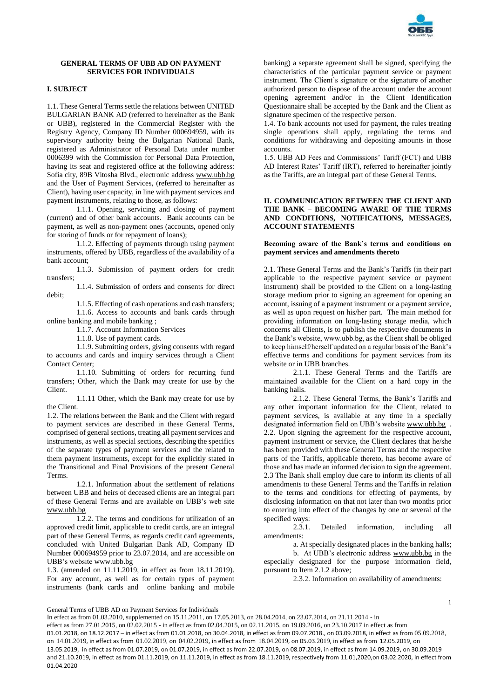

# **GENERAL TERMS OF UBB AD ON PAYMENT SERVICES FOR INDIVIDUALS**

# **I. SUBJECT**

1.1. These General Terms settle the relations between UNITED BULGARIAN BANK AD (referred to hereinafter as the Bank or UBB), registered in the Commercial Register with the Registry Agency, Company ID Number 000694959, with its supervisory authority being the Bulgarian National Bank, registered as Administrator of Personal Data under number 0006399 with the Commission for Personal Data Protection, having its seat and registered office at the following address: Sofia city, 89B Vitosha Blvd., electronic address [www.ubb.bg](http://www.ubb.bg/) and the User of Payment Services, (referred to hereinafter as Client), having user capacity, in line with payment services and payment instruments, relating to those, as follows:

1.1.1. Opening, servicing and closing of payment (current) and of other bank accounts. Bank accounts can be payment, as well as non-payment ones (accounts, opened only for storing of funds or for repayment of loans);

1.1.2. Effecting of payments through using payment instruments, offered by UBB, regardless of the availability of a bank account;

1.1.3. Submission of payment orders for credit transfers;

1.1.4. Submission of orders and consents for direct debit;

1.1.5. Effecting of cash operations and cash transfers; 1.1.6. Access to accounts and bank cards through online banking and mobile banking ;

1.1.7. Account Information Services

1.1.8. Use of payment cards.

1.1.9. Submitting orders, giving consents with regard to accounts and cards and inquiry services through a Client Contact Center;

1.1.10. Submitting of orders for recurring fund transfers; Other, which the Bank may create for use by the Client.

1.1.11 Other, which the Bank may create for use by the Client.

1.2. The relations between the Bank and the Client with regard to payment services are described in these General Terms, comprised of general sections, treating all payment services and instruments, as well as special sections, describing the specifics of the separate types of payment services and the related to them payment instruments, except for the explicitly stated in the Transitional and Final Provisions of the present General Terms.

1.2.1. Information about the settlement of relations between UBB and heirs of deceased clients are an integral part of these General Terms and are available on UBB's web site [www.ubb.bg](http://www.ubb.bg/)

1.2.2. The terms and conditions for utilization of an approved credit limit, applicable to credit cards, are an integral part of these General Terms, as regards credit card agreements, concluded with United Bulgarian Bank AD, Company ID Number 000694959 prior to 23.07.2014, and are accessible on UBB's websit[e www.ubb.bg](http://www.ubb.bg/)

1.3. (amended on 11.11.2019, in effect as from 18.11.2019). For any account, as well as for certain types of payment instruments (bank cards and online banking and mobile

banking) a separate agreement shall be signed, specifying the characteristics of the particular payment service or payment instrument. The Client's signature or the signature of another authorized person to dispose of the account under the account opening agreement and/or in the Client Identification Questionnaire shall be accepted by the Bank and the Client as signature specimen of the respective person.

1.4. To bank accounts not used for payment, the rules treating single operations shall apply, regulating the terms and conditions for withdrawing and depositing amounts in those accounts.

1.5. UBB AD Fees and Commissions' Tariff (FCT) and UBB AD Interest Rates' Tariff (IRT), referred to hereinafter jointly as the Tariffs, are an integral part of these General Terms.

## **II. COMMUNICATION BETWEEN THE CLIENT AND THE BANK – BECOMING AWARE OF THE TERMS AND CONDITIONS, NOTIFICATIONS, MESSAGES, ACCOUNT STATEMENTS**

## **Becoming aware of the Bank's terms and conditions on payment services and amendments thereto**

2.1. These General Terms and the Bank's Tariffs (in their part applicable to the respective payment service or payment instrument) shall be provided to the Client on a long-lasting storage medium prior to signing an agreement for opening an account, issuing of a payment instrument or a payment service, as well as upon request on his/her part. The main method for providing information on long-lasting storage media, which concerns all Clients, is to publish the respective documents in the Bank's website, www.ubb.bg, as the Client shall be obliged to keep himself/herself updated on a regular basis of the Bank's effective terms and conditions for payment services from its website or in UBB branches.

2.1.1. These General Terms and the Tariffs are maintained available for the Client on a hard copy in the banking halls.

2.1.2. These General Terms, the Bank's Tariffs and any other important information for the Client, related to payment services, is available at any time in a specially designated information field on UBB's websit[e www.ubb.bg](http://www.ubb.bg/) . 2.2. Upon signing the agreement for the respective account, payment instrument or service, the Client declares that he/she has been provided with these General Terms and the respective parts of the Tariffs, applicable thereto, has become aware of those and has made an informed decision to sign the agreement. 2.3 The Bank shall employ due care to inform its clients of all amendments to these General Terms and the Tariffs in relation to the terms and conditions for effecting of payments, by disclosing information on that not later than two months prior to entering into effect of the changes by one or several of the specified ways:

2.3.1. Detailed information, including all amendments:

> а. At specially designated places in the banking halls; b. At UBB's electronic address [www.ubb.bg](http://www.ubb.bg/) in the

especially designated for the purpose information field, pursuant to Item 2.1.2 above;

2.3.2. Information on availability of amendments:

General Terms of UBB AD on Payment Services for Individuals

In effect as from 01.03.2010, supplemented on 15.11.2011, on 17.05.2013, on 28.04.2014, on 23.07.2014, on 21.11.2014 - in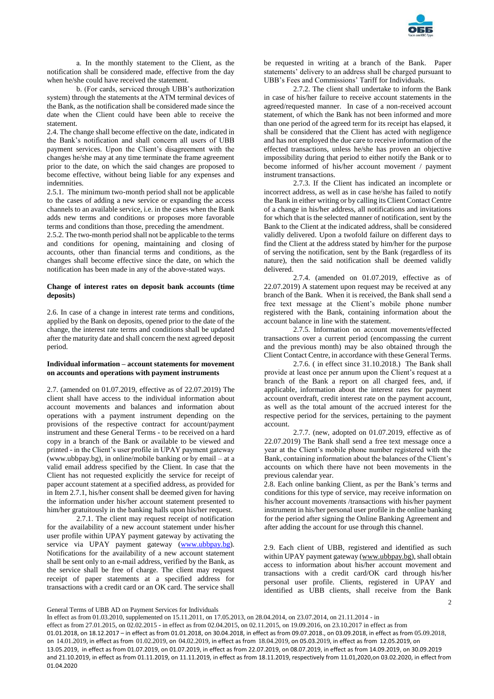

а. In the monthly statement to the Client, as the notification shall be considered made, effective from the day when he/she could have received the statement.

b. (For cards, serviced through UBB's authorization system) through the statements at the АТМ terminal devices of the Bank, as the notification shall be considered made since the date when the Client could have been able to receive the statement.

2.4. The change shall become effective on the date, indicated in the Bank's notification and shall concern all users of UBB payment services. Upon the Client's disagreement with the changes he/she may at any time terminate the frame agreement prior to the date, on which the said changes are proposed to become effective, without being liable for any expenses and indemnities.

2.5.1. The minimum two-month period shall not be applicable to the cases of adding a new service or expanding the access channels to an available service, i.e. in the cases when the Bank adds new terms and conditions or proposes more favorable terms and conditions than those, preceding the amendment.

2.5.2. The two-month period shall not be applicable to the terms and conditions for opening, maintaining and closing of accounts, other than financial terms and conditions, as the changes shall become effective since the date, on which the notification has been made in any of the above-stated ways.

# **Change of interest rates on deposit bank accounts (time deposits)**

2.6. In case of a change in interest rate terms and conditions, applied by the Bank on deposits, opened prior to the date of the change, the interest rate terms and conditions shall be updated after the maturity date and shall concern the next agreed deposit period.

# **Individual information – account statements for movement on accounts and operations with payment instruments**

2.7. (amended on 01.07.2019, effective as of 22.07.2019) The client shall have access to the individual information about account movements and balances and information about operations with a payment instrument depending on the provisions of the respective contract for account/payment instrument and these General Terms - to be received on a hard copy in a branch of the Bank or available to be viewed and printed - in the Client's user profile in UPAY payment gateway (www.ubbpay.bg), in online/mobile banking or by email – at a valid email address specified by the Client. In case that the Client has not requested explicitly the service for receipt of paper account statement at a specified address, as provided for in Item 2.7.1, his/her consent shall be deemed given for having the information under his/her account statement presented to him/her gratuitously in the banking halls upon his/her request.

2.7.1. The client may request receipt of notification for the availability of a new account statement under his/her user profile within UPAY payment gateway by activating the service via UPAY payment gateway [\(www.ubbpay.bg\)](http://www.ubbpay.bg/). Notifications for the availability of a new account statement shall be sent only to an e-mail address, verified by the Bank, as the service shall be free of charge. The client may request receipt of paper statements at a specified address for transactions with a credit card or an OK card. The service shall

be requested in writing at a branch of the Bank. Paper statements' delivery to an address shall be charged pursuant to UBB's Fees and Commissions' Tariff for Individuals.

2.7.2. The client shall undertake to inform the Bank in case of his/her failure to receive account statements in the agreed/requested manner. In case of a non-received account statement, of which the Bank has not been informed and more than one period of the agreed term for its receipt has elapsed, it shall be considered that the Client has acted with negligence and has not employed the due care to receive information of the effected transactions, unless he/she has proven an objective impossibility during that period to either notify the Bank or to become informed of his/her account movement / payment instrument transactions.

2.7.3. If the Client has indicated an incomplete or incorrect address, as well as in case he/she has failed to notify the Bank in either writing or by calling its Client Contact Centre of a change in his/her address, all notifications and invitations for which that is the selected manner of notification, sent by the Bank to the Client at the indicated address, shall be considered validly delivered. Upon a twofold failure on different days to find the Client at the address stated by him/her for the purpose of serving the notification, sent by the Bank (regardless of its nature), then the said notification shall be deemed validly delivered.

2.7.4. (amended on 01.07.2019, effective as of 22.07.2019) A statement upon request may be received at any branch of the Bank. When it is received, the Bank shall send a free text message at the Client's mobile phone number registered with the Bank, containing information about the account balance in line with the statement.

2.7.5. Information on account movements/effected transactions over a current period (encompassing the current and the previous month) may be also obtained through the Client Contact Centre, in accordance with these General Terms.

2.7.6. ( in effect since 31.10.2018.) The Bank shall provide at least once per annum upon the Client's request at a branch of the Bank a report on all charged fees, and, if applicable, information about the interest rates for payment account overdraft, credit interest rate on the payment account, as well as the total amount of the accrued interest for the respective period for the services, pertaining to the payment account.

2.7.7. (new, adopted on 01.07.2019, effective as of 22.07.2019) The Bank shall send a free text message once a year at the Client's mobile phone number registered with the Bank, containing information about the balances of the Client's accounts on which there have not been movements in the previous calendar year.

2.8. Each online banking Client, as per the Bank's terms and conditions for this type of service, may receive information on his/her account movements /transactions with his/her payment instrument in his/her personal user profile in the online banking for the period after signing the Online Banking Agreement and after adding the account for use through this channel.

 $\mathfrak{Z}$ 2.9. Each client of UBB, registered and identified as such within UPAY payment gateway [\(www.ubbpay.bg\)](http://www.ubbpay.bg/), shall obtain access to information about his/her account movement and transactions with a credit card/OK card through his/her personal user profile. Clients, registered in UPAY and identified as UBB clients, shall receive from the Bank

General Terms of UBB AD on Payment Services for Individuals

In effect as from 01.03.2010, supplemented on 15.11.2011, on 17.05.2013, on 28.04.2014, on 23.07.2014, on 21.11.2014 - in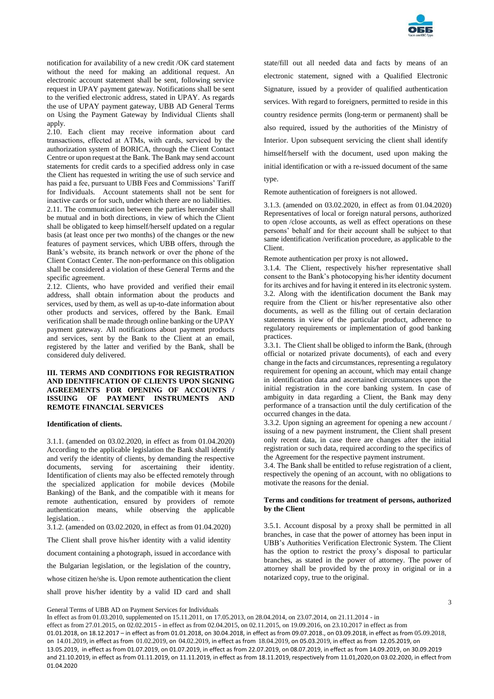

notification for availability of a new credit /OK card statement without the need for making an additional request. An electronic account statement shall be sent, following service request in UPAY payment gateway. Notifications shall be sent to the verified electronic address, stated in UPAY. As regards the use of UPAY payment gateway, UBB AD General Terms on Using the Payment Gateway by Individual Clients shall apply.

2.10. Each client may receive information about card transactions, effected at АТМs, with cards, serviced by the authorization system of BORICA, through the Client Contact Centre or upon request at the Bank. The Bank may send account statements for credit cards to a specified address only in case the Client has requested in writing the use of such service and has paid a fee, pursuant to UBB Fees and Commissions' Tariff for Individuals. Account statements shall not be sent for inactive cards or for such, under which there are no liabilities.

2.11. The communication between the parties hereunder shall be mutual and in both directions, in view of which the Client shall be obligated to keep himself/herself updated on a regular basis (at least once per two months) of the changes or the new features of payment services, which UBB offers, through the Bank's website, its branch network or over the phone of the Client Contact Center. The non-performance on this obligation shall be considered a violation of these General Terms and the specific agreement.

2.12. Clients, who have provided and verified their email address, shall obtain information about the products and services, used by them, as well as up-to-date information about other products and services, offered by the Bank. Email verification shall be made through online banking or the UPAY payment gateway. All notifications about payment products and services, sent by the Bank to the Client at an email, registered by the latter and verified by the Bank, shall be considered duly delivered.

# **III. TERMS AND CONDITIONS FOR REGISTRATION AND IDENTIFICATION OF CLIENTS UPON SIGNING AGREEMENTS FOR OPENING OF ACCOUNTS / ISSUING OF PAYMENT INSTRUMENTS AND REMOTE FINANCIAL SERVICES**

## **Identification of clients.**

3.1.1. (amended on 03.02.2020, in effect as from 01.04.2020) According to the applicable legislation the Bank shall identify and verify the identity of clients, by demanding the respective documents, serving for ascertaining their identity. Identification of clients may also be effected remotely through the specialized application for mobile devices (Mobile Banking) of the Bank, and the compatible with it means for remote authentication, ensured by providers of remote authentication means, while observing the applicable legislation. .

3.1.2. (amended on 03.02.2020, in effect as from 01.04.2020)

The Client shall prove his/her identity with a valid identity

document containing a photograph, issued in accordance with

the Bulgarian legislation, or the legislation of the country,

whose citizen he/she is. Upon remote authentication the client

shall prove his/her identity by a valid ID card and shall

state/fill out all needed data and facts by means of an electronic statement, signed with a Qualified Electronic Signature, issued by a provider of qualified authentication services. With regard to foreigners, permitted to reside in this country residence permits (long-term or permanent) shall be also required, issued by the authorities of the Ministry of Interior. Upon subsequent servicing the client shall identify himself/herself with the document, used upon making the initial identification or with a re-issued document of the same

# type.

Remote authentication of foreigners is not allowed.

3.1.3. (amended on 03.02.2020, in effect as from 01.04.2020) Representatives of local or foreign natural persons, authorized to open /close accounts, as well as effect operations on these persons' behalf and for their account shall be subject to that same identification /verification procedure, as applicable to the Client.

Remote authentication per proxy is not allowed.

3.1.4. The Client, respectively his/her representative shall consent to the Bank's photocopying his/her identity document for its archives and for having it entered in its electronic system. 3.2. Along with the identification document the Bank may require from the Client or his/her representative also other documents, as well as the filling out of certain declaration statements in view of the particular product, adherence to regulatory requirements or implementation of good banking practices.

3.3.1. The Client shall be obliged to inform the Bank, (through official or notarized private documents), of each and every change in the facts and circumstances, representing a regulatory requirement for opening an account, which may entail change in identification data and ascertained circumstances upon the initial registration in the core banking system. In case of ambiguity in data regarding a Client, the Bank may deny performance of a transaction until the duly certification of the occurred changes in the data.

3.3.2. Upon signing an agreement for opening a new account / issuing of a new payment instrument, the Client shall present only recent data, in case there are changes after the initial registration or such data, required according to the specifics of the Agreement for the respective payment instrument.

3.4. The Bank shall be entitled to refuse registration of a client, respectively the opening of an account, with no obligations to motivate the reasons for the denial.

## **Terms and conditions for treatment of persons, authorized by the Client**

3.5.1. Account disposal by a proxy shall be permitted in all branches, in case that the power of attorney has been input in UBB's Authorities Verification Electronic System. The Client has the option to restrict the proxy's disposal to particular branches, as stated in the power of attorney. The power of attorney shall be provided by the proxy in original or in a notarized copy, true to the original.

General Terms of UBB AD on Payment Services for Individuals

In effect as from 01.03.2010, supplemented on 15.11.2011, on 17.05.2013, on 28.04.2014, on 23.07.2014, on 21.11.2014 - in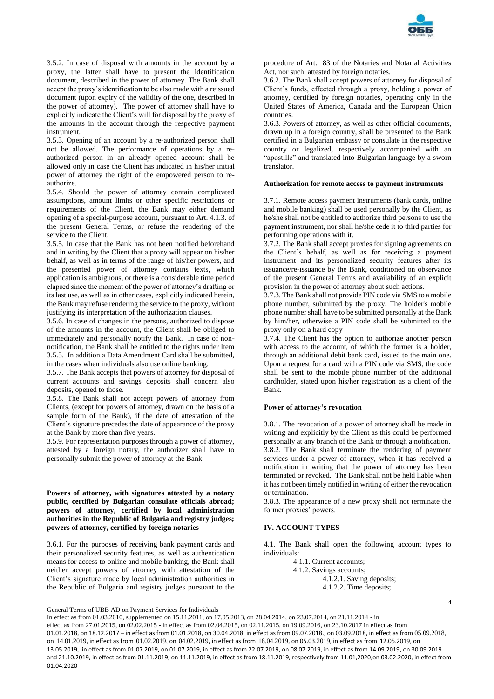

3.5.2. In case of disposal with amounts in the account by a proxy, the latter shall have to present the identification document, described in the power of attorney. The Bank shall accept the proxy's identification to be also made with a reissued document (upon expiry of the validity of the one, described in the power of attorney). The power of attorney shall have to explicitly indicate the Client's will for disposal by the proxy of the amounts in the account through the respective payment instrument.

3.5.3. Opening of an account by a re-authorized person shall not be allowed. The performance of operations by a reauthorized person in an already opened account shall be allowed only in case the Client has indicated in his/her initial power of attorney the right of the empowered person to reauthorize.

3.5.4. Should the power of attorney contain complicated assumptions, amount limits or other specific restrictions or requirements of the Client, the Bank may either demand opening of a special-purpose account, pursuant to Art. 4.1.3. of the present General Terms, or refuse the rendering of the service to the Client.

3.5.5. In case that the Bank has not been notified beforehand and in writing by the Client that a proxy will appear on his/her behalf, as well as in terms of the range of his/her powers, and the presented power of attorney contains texts, which application is ambiguous, or there is a considerable time period elapsed since the moment of the power of attorney's drafting or its last use, as well as in other cases, explicitly indicated herein, the Bank may refuse rendering the service to the proxy, without justifying its interpretation of the authorization clauses.

3.5.6. In case of changes in the persons, authorized to dispose of the amounts in the account, the Client shall be obliged to immediately and personally notify the Bank. In case of nonnotification, the Bank shall be entitled to the rights under Item 3.5.5. In addition a Data Amendment Card shall be submitted, in the cases when individuals also use online banking.

3.5.7. The Bank accepts that powers of attorney for disposal of current accounts and savings deposits shall concern also deposits, opened to those.

3.5.8. The Bank shall not accept powers of attorney from Clients, (except for powers of attorney, drawn on the basis of a sample form of the Bank), if the date of attestation of the Client's signature precedes the date of appearance of the proxy at the Bank by more than five years.

3.5.9. For representation purposes through a power of attorney, attested by a foreign notary, the authorizer shall have to personally submit the power of attorney at the Bank.

**Powers of attorney, with signatures attested by a notary public, certified by Bulgarian consulate officials abroad; powers of attorney, certified by local administration authorities in the Republic of Bulgaria and registry judges; powers of attorney, certified by foreign notaries**

3.6.1. For the purposes of receiving bank payment cards and their personalized security features, as well as authentication means for access to online and mobile banking, the Bank shall neither accept powers of attorney with attestation of the Client's signature made by local administration authorities in the Republic of Bulgaria and registry judges pursuant to the

procedure of Art. 83 of the Notaries and Notarial Activities Act, nor such, attested by foreign notaries.

3.6.2. The Bank shall accept powers of attorney for disposal of Client's funds, effected through a proxy, holding a power of attorney, certified by foreign notaries, operating only in the United States of America, Canada and the European Union countries.

3.6.3. Powers of attorney, as well as other official documents, drawn up in a foreign country, shall be presented to the Bank certified in a Bulgarian embassy or consulate in the respective country or legalized, respectively accompanied with an "apostille" and translated into Bulgarian language by a sworn translator.

#### **Authorization for remote access to payment instruments**

3.7.1. Remote access payment instruments (bank cards, online and mobile banking) shall be used personally by the Client, as he/she shall not be entitled to authorize third persons to use the payment instrument, nor shall he/she cede it to third parties for performing operations with it.

3.7.2. The Bank shall accept proxies for signing agreements on the Client's behalf, as well as for receiving a payment instrument and its personalized security features after its issuance/re-issuance by the Bank, conditioned on observance of the present General Terms and availability of an explicit provision in the power of attorney about such actions.

3.7.3. The Bank shall not provide PIN code via SMS to a mobile phone number, submitted by the proxy. The holder's mobile phone number shall have to be submitted personally at the Bank by him/her, otherwise a PIN code shall be submitted to the proxy only on a hard copy

3.7.4. The Client has the option to authorize another person with access to the account, of which the former is a holder, through an additional debit bank card, issued to the main one. Upon a request for a card with a PIN code via SMS, the code shall be sent to the mobile phone number of the additional cardholder, stated upon his/her registration as a client of the Bank.

## **Power of attorney's revocation**

3.8.1. The revocation of a power of attorney shall be made in writing and explicitly by the Client as this could be performed personally at any branch of the Bank or through a notification. 3.8.2. The Bank shall terminate the rendering of payment services under a power of attorney, when it has received a notification in writing that the power of attorney has been terminated or revoked. The Bank shall not be held liable when it has not been timely notified in writing of either the revocation or termination.

3.8.3. The appearance of a new proxy shall not terminate the former proxies' powers.

# **IV. ACCOUNT TYPES**

4.1. The Bank shall open the following account types to individuals:

> 4.1.1. Current accounts; 4.1.2. Savings accounts; 4.1.2.1. Saving deposits; 4.1.2.2. Time deposits;

> > 4

General Terms of UBB AD on Payment Services for Individuals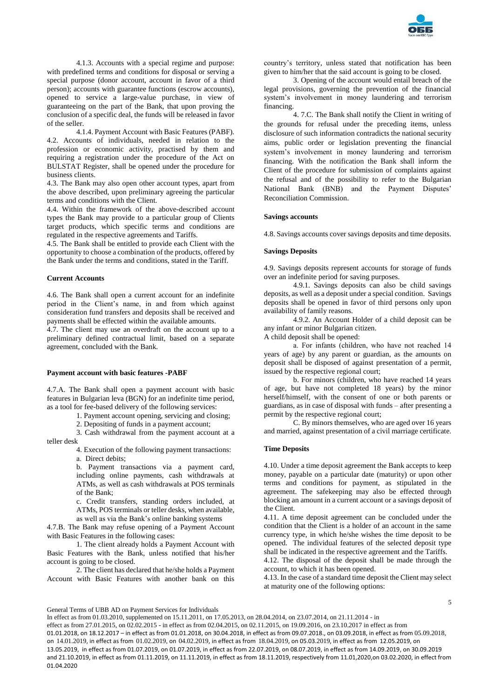

4.1.3. Accounts with a special regime and purpose: with predefined terms and conditions for disposal or serving a special purpose (donor account, account in favor of a third person); accounts with guarantee functions (escrow accounts), opened to service a large-value purchase, in view of guaranteeing on the part of the Bank, that upon proving the conclusion of a specific deal, the funds will be released in favor of the seller.

4.1.4. Payment Account with Basic Features (PABF). 4.2. Accounts of individuals, needed in relation to the profession or economic activity, practised by them and requiring a registration under the procedure of the Act on BULSTAT Register, shall be opened under the procedure for business clients.

4.3. The Bank may also open other account types, apart from the above described, upon preliminary agreeing the particular terms and conditions with the Client.

4.4. Within the framework of the above-described account types the Bank may provide to a particular group of Clients target products, which specific terms and conditions are regulated in the respective agreements and Tariffs.

4.5. The Bank shall be entitled to provide each Client with the opportunity to choose a combination of the products, offered by the Bank under the terms and conditions, stated in the Tariff.

# **Current Accounts**

4.6. The Bank shall open a current account for an indefinite period in the Client's name, in and from which against consideration fund transfers and deposits shall be received and payments shall be effected within the available amounts.

4.7. The client may use an overdraft on the account up to a preliminary defined contractual limit, based on a separate agreement, concluded with the Bank.

#### **Payment account with basic features -PABF**

4.7.A. The Bank shall open a payment account with basic features in Bulgarian leva (BGN) for an indefinite time period, as a tool for fee-based delivery of the following services:

1. Payment account opening, servicing and closing;

2. Depositing of funds in a payment account;

3. Cash withdrawal from the payment account at a teller desk

> 4. Execution of the following payment transactions: а. Direct debits;

b. Payment transactions via a payment card, including online payments, cash withdrawals at ATMs, as well as cash withdrawals at POS terminals of the Bank;

c. Credit transfers, standing orders included, at ATMs, POS terminals or teller desks, when available, as well as via the Bank's online banking systems

4.7.B. The Bank may refuse opening of a Payment Account with Basic Features in the following cases:

1. The client already holds a Payment Account with Basic Features with the Bank, unless notified that his/her account is going to be closed.

2. The client has declared that he/she holds a Payment Account with Basic Features with another bank on this

country's territory, unless stated that notification has been given to him/her that the said account is going to be closed.

3. Opening of the account would entail breach of the legal provisions, governing the prevention of the financial system's involvement in money laundering and terrorism financing.

4. 7.C. The Bank shall notify the Client in writing of the grounds for refusal under the preceding items, unless disclosure of such information contradicts the national security aims, public order or legislation preventing the financial system's involvement in money laundering and terrorism financing. With the notification the Bank shall inform the Client of the procedure for submission of complaints against the refusal and of the possibility to refer to the Bulgarian National Bank (BNB) and the Payment Disputes' Reconciliation Commission.

## **Savings accounts**

4.8. Savings accounts cover savings deposits and time deposits.

#### **Savings Deposits**

4.9. Savings deposits represent accounts for storage of funds over an indefinite period for saving purposes.

4.9.1. Savings deposits can also be child savings deposits, as well as a deposit under a special condition. Savings deposits shall be opened in favor of third persons only upon availability of family reasons.

4.9.2. An Account Holder of a child deposit can be any infant or minor Bulgarian citizen.

A child deposit shall be opened:

а. For infants (children, who have not reached 14 years of age) by any parent or guardian, as the amounts on deposit shall be disposed of against presentation of a permit, issued by the respective regional court;

b. For minors (children, who have reached 14 years of age, but have not completed 18 years) by the minor herself/himself, with the consent of one or both parents or guardians, as in case of disposal with funds – after presenting a permit by the respective regional court;

C. By minors themselves, who are aged over 16 years and married, against presentation of a civil marriage certificate.

## **Time Deposits**

4.10. Under a time deposit agreement the Bank accepts to keep money, payable on a particular date (maturity) or upon other terms and conditions for payment, as stipulated in the agreement. The safekeeping may also be effected through blocking an amount in a current account or a savings deposit of the Client.

4.11. A time deposit agreement can be concluded under the condition that the Client is a holder of an account in the same currency type, in which he/she wishes the time deposit to be opened. The individual features of the selected deposit type shall be indicated in the respective agreement and the Tariffs.

4.12. The disposal of the deposit shall be made through the account, to which it has been opened.

4.13. In the case of a standard time deposit the Client may select at maturity one of the following options:

General Terms of UBB AD on Payment Services for Individuals

In effect as from 01.03.2010, supplemented on 15.11.2011, on 17.05.2013, on 28.04.2014, on 23.07.2014, on 21.11.2014 - in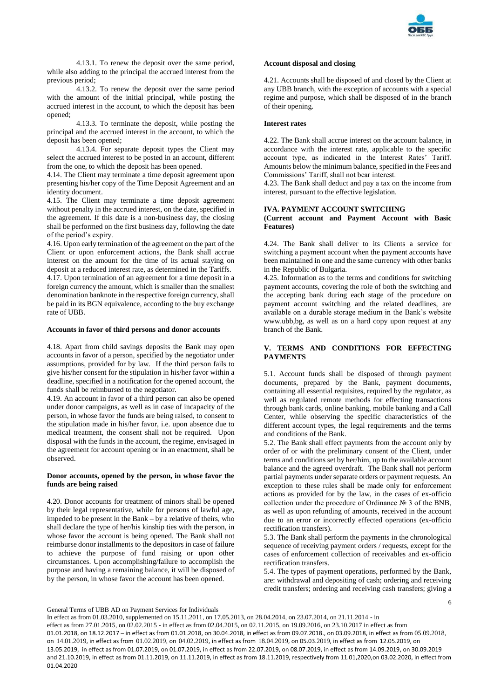

4.13.1. To renew the deposit over the same period, while also adding to the principal the accrued interest from the previous period;

4.13.2. To renew the deposit over the same period with the amount of the initial principal, while posting the accrued interest in the account, to which the deposit has been opened;

4.13.3. To terminate the deposit, while posting the principal and the accrued interest in the account, to which the deposit has been opened;

4.13.4. For separate deposit types the Client may select the accrued interest to be posted in an account, different from the one, to which the deposit has been opened.

4.14. The Client may terminate a time deposit agreement upon presenting his/her copy of the Time Deposit Agreement and an identity document.

4.15. The Client may terminate a time deposit agreement without penalty in the accrued interest, on the date, specified in the agreement. If this date is a non-business day, the closing shall be performed on the first business day, following the date of the period's expiry.

4.16. Upon early termination of the agreement on the part of the Client or upon enforcement actions, the Bank shall accrue interest on the amount for the time of its actual staying on deposit at a reduced interest rate, as determined in the Tariffs.

4.17. Upon termination of an agreement for a time deposit in a foreign currency the amount, which is smaller than the smallest denomination banknote in the respective foreign currency, shall be paid in its BGN equivalence, according to the buy exchange rate of UBB.

#### **Accounts in favor of third persons and donor accounts**

4.18. Apart from child savings deposits the Bank may open accounts in favor of a person, specified by the negotiator under assumptions, provided for by law. If the third person fails to give his/her consent for the stipulation in his/her favor within a deadline, specified in a notification for the opened account, the funds shall be reimbursed to the negotiator.

4.19. An account in favor of a third person can also be opened under donor campaigns, as well as in case of incapacity of the person, in whose favor the funds are being raised, to consent to the stipulation made in his/her favor, i.e. upon absence due to medical treatment, the consent shall not be required. Upon disposal with the funds in the account, the regime, envisaged in the agreement for account opening or in an enactment, shall be observed.

## **Donor accounts, opened by the person, in whose favor the funds are being raised**

4.20. Donor accounts for treatment of minors shall be opened by their legal representative, while for persons of lawful age, impeded to be present in the Bank – by a relative of theirs, who shall declare the type of her/his kinship ties with the person, in whose favor the account is being opened. The Bank shall not reimburse donor installments to the depositors in case of failure to achieve the purpose of fund raising or upon other circumstances. Upon accomplishing/failure to accomplish the purpose and having a remaining balance, it will be disposed of by the person, in whose favor the account has been opened.

#### **Account disposal and closing**

4.21. Accounts shall be disposed of and closed by the Client at any UBB branch, with the exception of accounts with a special regime and purpose, which shall be disposed of in the branch of their opening.

# **Interest rates**

4.22. The Bank shall accrue interest on the account balance, in accordance with the interest rate, applicable to the specific account type, as indicated in the Interest Rates' Tariff. Amounts below the minimum balance, specified in the Fees and Commissions' Tariff, shall not bear interest.

4.23. The Bank shall deduct and pay a tax on the income from interest, pursuant to the effective legislation.

#### **IVA. PAYMENT ACCOUNT SWITCHING**

## **(Current account and Payment Account with Basic Features)**

4.24. The Bank shall deliver to its Clients a service for switching a payment account when the payment accounts have been maintained in one and the same currency with other banks in the Republic of Bulgaria.

4.25. Information as to the terms and conditions for switching payment accounts, covering the role of both the switching and the accepting bank during each stage of the procedure on payment account switching and the related deadlines, are available on a durable storage medium in the Bank's website www.ubb,bg, as well as on a hard copy upon request at any branch of the Bank.

## **V. TERMS AND CONDITIONS FOR EFFECTING PAYMENTS**

5.1. Account funds shall be disposed of through payment documents, prepared by the Bank, payment documents, containing all essential requisites, required by the regulator, as well as regulated remote methods for effecting transactions through bank cards, online banking, mobile banking and a Call Center, while observing the specific characteristics of the different account types, the legal requirements and the terms and conditions of the Bank.

5.2. The Bank shall effect payments from the account only by order of or with the preliminary consent of the Client, under terms and conditions set by her/him, up to the available account balance and the agreed overdraft. The Bank shall not perform partial payments under separate orders or payment requests. An exception to these rules shall be made only for enforcement actions as provided for by the law, in the cases of ex-officio collection under the procedure of Ordinance № 3 of the BNB, as well as upon refunding of amounts, received in the account due to an error or incorrectly effected operations (ex-officio rectification transfers).

5.3. The Bank shall perform the payments in the chronological sequence of receiving payment orders / requests, except for the cases of enforcement collection of receivables and ex-officio rectification transfers.

5.4. The types of payment operations, performed by the Bank, are: withdrawal and depositing of cash; ordering and receiving credit transfers; ordering and receiving cash transfers; giving a

6

General Terms of UBB AD on Payment Services for Individuals

In effect as from 01.03.2010, supplemented on 15.11.2011, on 17.05.2013, on 28.04.2014, on 23.07.2014, on 21.11.2014 - in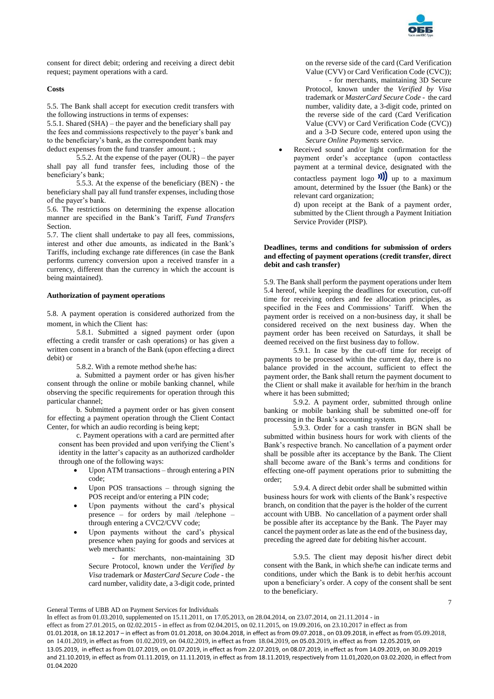

consent for direct debit; ordering and receiving a direct debit request; payment operations with a card.

# **Costs**

5.5. The Bank shall accept for execution credit transfers with the following instructions in terms of expenses:

5.5.1. Shared (SHA) – the payer and the beneficiary shall pay the fees and commissions respectively to the payer's bank and to the beneficiary's bank, as the correspondent bank may deduct expenses from the fund transfer amount. ;

5.5.2. At the expense of the payer (OUR) – the payer shall pay all fund transfer fees, including those of the beneficiary's bank;

5.5.3. At the expense of the beneficiary (BEN) - the beneficiary shall pay all fund transfer expenses, including those of the payer's bank.

5.6. The restrictions on determining the expense allocation manner are specified in the Bank's Tariff, *Fund Transfers* Section.

5.7. The client shall undertake to pay all fees, commissions, interest and other due amounts, as indicated in the Bank's Tariffs, including exchange rate differences (in case the Bank performs currency conversion upon a received transfer in a currency, different than the currency in which the account is being maintained).

# **Authorization of payment operations**

5.8. A payment operation is considered authorized from the moment, in which the Client has:

5.8.1. Submitted a signed payment order (upon effecting a credit transfer or cash operations) or has given a written consent in a branch of the Bank (upon effecting a direct debit) or

5.8.2. With a remote method she/he has:

a. Submitted a payment order or has given his/her consent through the online or mobile banking channel, while observing the specific requirements for operation through this particular channel;

b. Submitted a payment order or has given consent for effecting a payment operation through the Client Contact Center, for which an audio recording is being kept;

c. Payment operations with a card are permitted after consent has been provided and upon verifying the Client's identity in the latter's capacity as an authorized cardholder through one of the following ways:

- Upon ATM transactions through entering a PIN code;
- Upon POS transactions through signing the POS receipt and/or entering a PIN code;
- Upon payments without the card's physical presence – for orders by mail /telephone – through entering a CVC2/CVV code;
- Upon payments without the card's physical presence when paying for goods and services at web merchants:

- for merchants, non-maintaining 3D Secure Protocol, known under the *Verified by Visa* trademark or *MasterCard Secure Code* - the card number, validity date, a 3-digit code, printed on the reverse side of the card (Card Verification Value (CVV) or Card Verification Code (CVC));

- for merchants, maintaining 3D Secure Protocol, known under the *Verified by Visa* trademark or *MasterCard Secure Code* - the card number, validity date, a 3-digit code, printed on the reverse side of the card (Card Verification Value (CVV) or Card Verification Code (CVC)) and a 3-D Secure code, entered upon using the *Secure Online Payments* service.

 Received sound and/or light confirmation for the payment order's acceptance (upon contactless payment at a terminal device, designated with the contactless payment logo  $\mathbf{W}$  up to a maximum amount, determined by the Issuer (the Bank) or the relevant card organization;

d) upon receipt at the Bank of a payment order, submitted by the Client through a Payment Initiation Service Provider (PISP).

# **Deadlines, terms and conditions for submission of orders and effecting of payment operations (credit transfer, direct debit and cash transfer)**

5.9. The Bank shall perform the payment operations under Item 5.4 hereof, while keeping the deadlines for execution, cut-off time for receiving orders and fee allocation principles, as specified in the Fees and Commissions' Tariff. When the payment order is received on a non-business day, it shall be considered received on the next business day. When the payment order has been received on Saturdays, it shall be deemed received on the first business day to follow.

5.9.1. In case by the cut-off time for receipt of payments to be processed within the current day, there is no balance provided in the account, sufficient to effect the payment order, the Bank shall return the payment document to the Client or shall make it available for her/him in the branch where it has been submitted;

5.9.2. A payment order, submitted through online banking or mobile banking shall be submitted one-off for processing in the Bank's accounting system.

5.9.3. Order for a cash transfer in BGN shall be submitted within business hours for work with clients of the Bank's respective branch. No cancellation of a payment order shall be possible after its acceptance by the Bank. The Client shall become aware of the Bank's terms and conditions for effecting one-off payment operations prior to submitting the order;

5.9.4. A direct debit order shall be submitted within business hours for work with clients of the Bank's respective branch, on condition that the payer is the holder of the current account with UBB. No cancellation of a payment order shall be possible after its acceptance by the Bank. The Payer may cancel the payment order as late as the end of the business day, preceding the agreed date for debiting his/her account.

5.9.5. The client may deposit his/her direct debit consent with the Bank, in which she/he can indicate terms and conditions, under which the Bank is to debit her/his account upon a beneficiary's order. A copy of the consent shall be sent to the beneficiary.

General Terms of UBB AD on Payment Services for Individuals

In effect as from 01.03.2010, supplemented on 15.11.2011, on 17.05.2013, on 28.04.2014, on 23.07.2014, on 21.11.2014 - in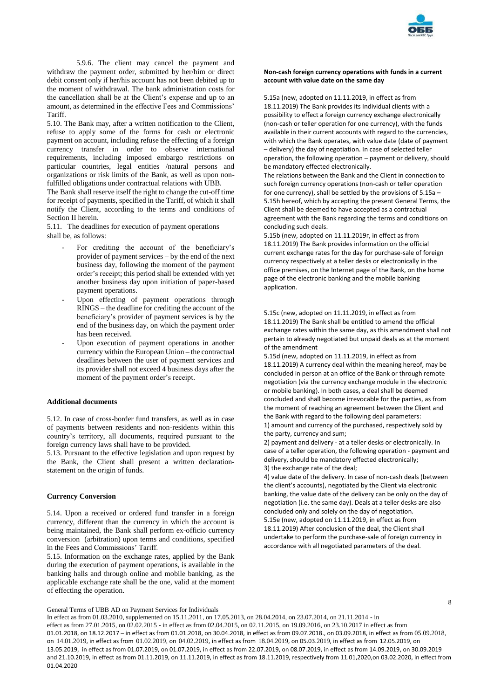

5.9.6. The client may cancel the payment and withdraw the payment order, submitted by her/him or direct debit consent only if her/his account has not been debited up to the moment of withdrawal. The bank administration costs for the cancellation shall be at the Client's expense and up to an amount, as determined in the effective Fees and Commissions' Tariff.

5.10. The Bank may, after a written notification to the Client, refuse to apply some of the forms for cash or electronic payment on account, including refuse the effecting of a foreign currency transfer in order to observe international requirements, including imposed embargo restrictions on particular countries, legal entities /natural persons and organizations or risk limits of the Bank, as well as upon nonfulfilled obligations under contractual relations with UBB.

The Bank shall reserve itself the right to change the cut-off time for receipt of payments, specified in the Tariff, of which it shall notify the Client, according to the terms and conditions of Section II herein.

5.11. The deadlines for execution of payment operations shall be, as follows:

- For crediting the account of the beneficiary's provider of payment services – by the end of the next business day, following the moment of the payment order's receipt; this period shall be extended with yet another business day upon initiation of paper-based payment operations.
- Upon effecting of payment operations through RINGS – the deadline for crediting the account of the beneficiary's provider of payment services is by the end of the business day, on which the payment order has been received.
- Upon execution of payment operations in another currency within the European Union – the contractual deadlines between the user of payment services and its provider shall not exceed 4 business days after the moment of the payment order's receipt.

## **Additional documents**

5.12. In case of cross-border fund transfers, as well as in case of payments between residents and non-residents within this country's territory, all documents, required pursuant to the foreign currency laws shall have to be provided.

5.13. Pursuant to the effective legislation and upon request by the Bank, the Client shall present a written declarationstatement on the origin of funds.

## **Currency Conversion**

5.14. Upon a received or ordered fund transfer in a foreign currency, different than the currency in which the account is being maintained, the Bank shall perform ex-officio currency conversion (arbitration) upon terms and conditions, specified in the Fees and Commissions' Tariff.

5.15. Information on the exchange rates, applied by the Bank during the execution of payment operations, is available in the banking halls and through online and mobile banking, as the applicable exchange rate shall be the one, valid at the moment of effecting the operation.

#### **Non-cash foreign currency operations with funds in a current account with value date on the same day**

5.15a (new, adopted on 11.11.2019, in effect as from 18.11.2019) The Bank provides its Individual clients with a possibility to effect a foreign currency exchange electronically (non-cash or teller operation for one currency), with the funds available in their current accounts with regard to the currencies, with which the Bank operates, with value date (date of payment – delivery) the day of negotiation. In case of selected teller operation, the following operation – payment or delivery, should be mandatory effected electronically.

The relations between the Bank and the Client in connection to such foreign currency operations (non-cash or teller operation for one currency), shall be settled by the provisions of 5.15a – 5.15h hereof, which by accepting the present General Terms, the Client shall be deemed to have accepted as a contractual agreement with the Bank regarding the terms and conditions on concluding such deals.

5.15b (new, adopted on 11.11.2019г, in effect as from 18.11.2019) The Bank provides information on the official current exchange rates for the day for purchase-sale of foreign currency respectively at a teller desks or electronically in the office premises, on the Internet page of the Bank, on the home page of the electronic banking and the mobile banking application.

5.15c (new, adopted on 11.11.2019, in effect as from 18.11.2019) The Bank shall be entitled to amend the official exchange rates within the same day, as this amendment shall not pertain to already negotiated but unpaid deals as at the moment of the amendment

5.15d (new, adopted on 11.11.2019, in effect as from 18.11.2019) A currency deal within the meaning hereof, may be concluded in person at an office of the Bank or through remote negotiation (via the currency exchange module in the electronic or mobile banking). In both cases, a deal shall be deemed concluded and shall become irrevocable for the parties, as from the moment of reaching an agreement between the Client and the Bank with regard to the following deal parameters: 1) amount and currency of the purchased, respectively sold by

the party, currency and sum; 2) payment and delivery - at a teller desks or electronically. In case of a teller operation, the following operation - payment and

delivery, should be mandatory effected electronically; 3) the exchange rate of the deal;

4) value date of the delivery. In case of non-cash deals (between the client's accounts), negotiated by the Client via electronic banking, the value date of the delivery can be only on the day of negotiation (i.e. the same day). Deals at a teller desks are also concluded only and solely on the day of negotiation. 5.15e (new, adopted on 11.11.2019, in effect as from 18.11.2019) After conclusion of the deal, the Client shall undertake to perform the purchase-sale of foreign currency in accordance with all negotiated parameters of the deal.

General Terms of UBB AD on Payment Services for Individuals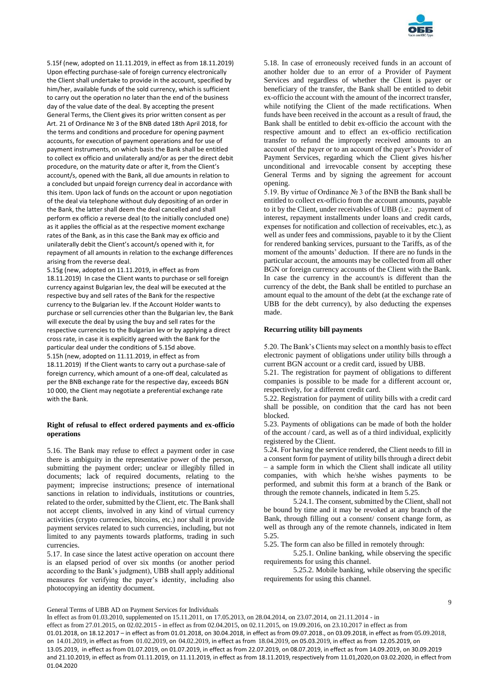

5.15f (new, adopted on 11.11.2019, in effect as from 18.11.2019) Upon effecting purchase-sale of foreign currency electronically the Client shall undertake to provide in the account, specified by him/her, available funds of the sold currency, which is sufficient to carry out the operation no later than the end of the business day of the value date of the deal. By accepting the present General Terms, the Client gives its prior written consent as per Art. 21 of Ordinance № 3 of the BNB dated 18th April 2018, for the terms and conditions and procedure for opening payment accounts, for execution of payment operations and for use of payment instruments, on which basis the Bank shall be entitled to collect ex officio and unilaterally and/or as per the direct debit procedure, on the maturity date or after it, from the Client's account/s, opened with the Bank, all due amounts in relation to a concluded but unpaid foreign currency deal in accordance with this item. Upon lack of funds on the account or upon negotiation of the deal via telephone without duly depositing of an order in the Bank, the latter shall deem the deal cancelled and shall perform ex officio a reverse deal (to the initially concluded one) as it applies the official as at the respective moment exchange rates of the Bank, as in this case the Bank may ex officio and unilaterally debit the Client's account/s opened with it, for repayment of all amounts in relation to the exchange differences arising from the reverse deal.

5.15g (new, adopted on 11.11.2019, in effect as from 18.11.2019) In case the Client wants to purchase or sell foreign currency against Bulgarian lev, the deal will be executed at the respective buy and sell rates of the Bank for the respective currency to the Bulgarian lev. If the Account Holder wants to purchase or sell currencies other than the Bulgarian lev, the Bank will execute the deal by using the buy and sell rates for the respective currencies to the Bulgarian lev or by applying a direct cross rate, in case it is explicitly agreed with the Bank for the particular deal under the conditions of 5.15d above. 5.15h (new, adopted on 11.11.2019, in effect as from 18.11.2019) If the Client wants to carry out a purchase-sale of foreign currency, which amount of a one-off deal, calculated as per the BNB exchange rate for the respective day, exceeds BGN 10 000, the Client may negotiate a preferential exchange rate with the Bank.

## **Right of refusal to effect ordered payments and ex-officio operations**

5.16. The Bank may refuse to effect a payment order in case there is ambiguity in the representative power of the person, submitting the payment order; unclear or illegibly filled in documents; lack of required documents, relating to the payment; imprecise instructions; presence of international sanctions in relation to individuals, institutions or countries, related to the order, submitted by the Client, etc. The Bank shall not accept clients, involved in any kind of virtual currency activities (crypto currencies, bitcoins, etc.) nor shall it provide payment services related to such currencies, including, but not limited to any payments towards platforms, trading in such currencies.

5.17. In case since the latest active operation on account there is an elapsed period of over six months (or another period according to the Bank's judgment), UBB shall apply additional measures for verifying the payer's identity, including also photocopying an identity document.

5.18. In case of erroneously received funds in an account of another holder due to an error of a Provider of Payment Services and regardless of whether the Client is payer or beneficiary of the transfer, the Bank shall be entitled to debit ex-officio the account with the amount of the incorrect transfer, while notifying the Client of the made rectifications. When funds have been received in the account as a result of fraud, the Bank shall be entitled to debit ex-officio the account with the respective amount and to effect an ex-officio rectification transfer to refund the improperly received amounts to an account of the payer or to an account of the payer's Provider of Payment Services, regarding which the Client gives his/her unconditional and irrevocable consent by accepting these General Terms and by signing the agreement for account opening.

5.19. By virtue of Ordinance № 3 of the BNB the Bank shall be entitled to collect ex-officio from the account amounts, payable to it by the Client, under receivables of UBB (i.e.: payment of interest, repayment installments under loans and credit cards, expenses for notification and collection of receivables, etc.), as well as under fees and commissions, payable to it by the Client for rendered banking services, pursuant to the Tariffs, as of the moment of the amounts' deduction. If there are no funds in the particular account, the amounts may be collected from all other BGN or foreign currency accounts of the Client with the Bank. In case the currency in the account/s is different than the currency of the debt, the Bank shall be entitled to purchase an amount equal to the amount of the debt (at the exchange rate of UBB for the debt currency), by also deducting the expenses made.

# **Recurring utility bill payments**

5.20. The Bank's Clients may select on a monthly basis to effect electronic payment of obligations under utility bills through a current BGN account or a credit card, issued by UBB.

5.21. The registration for payment of obligations to different companies is possible to be made for a different account or, respectively, for a different credit card.

5.22. Registration for payment of utility bills with a credit card shall be possible, on condition that the card has not been blocked.

5.23. Payments of obligations can be made of both the holder of the account / card, as well as of a third individual, explicitly registered by the Client.

5.24. For having the service rendered, the Client needs to fill in a consent form for payment of utility bills through a direct debit – a sample form in which the Client shall indicate all utility companies, with which he/she wishes payments to be performed, and submit this form at a branch of the Bank or through the remote channels, indicated in Item 5.25.

5.24.1. The consent, submitted by the Client, shall not be bound by time and it may be revoked at any branch of the Bank, through filling out a consent/ consent change form, as well as through any of the remote channels, indicated in Item 5.25.

5.25. The form can also be filled in remotely through:

5.25.1. Online banking, while observing the specific requirements for using this channel.

5.25.2. Mobile banking, while observing the specific requirements for using this channel.

General Terms of UBB AD on Payment Services for Individuals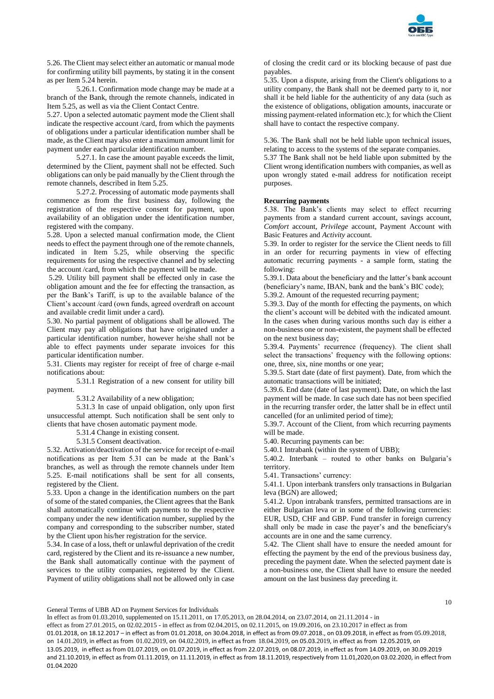

5.26. The Client may select either an automatic or manual mode for confirming utility bill payments, by stating it in the consent as per Item 5.24 herein.

5.26.1. Confirmation mode change may be made at a branch of the Bank, through the remote channels, indicated in Item 5.25, as well as via the Client Contact Centre.

5.27. Upon a selected automatic payment mode the Client shall indicate the respective account /card, from which the payments of obligations under a particular identification number shall be made, as the Client may also enter a maximum amount limit for payment under each particular identification number.

5.27.1. In case the amount payable exceeds the limit, determined by the Client, payment shall not be effected. Such obligations can only be paid manually by the Client through the remote channels, described in Item 5.25.

5.27.2. Processing of automatic mode payments shall commence as from the first business day, following the registration of the respective consent for payment, upon availability of an obligation under the identification number, registered with the company.

5.28. Upon a selected manual confirmation mode, the Client needs to effect the payment through one of the remote channels, indicated in Item 5.25, while observing the specific requirements for using the respective channel and by selecting the account /card, from which the payment will be made.

5.29. Utility bill payment shall be effected only in case the obligation amount and the fee for effecting the transaction, as per the Bank's Tariff, is up to the available balance of the Client's account /card (own funds, agreed overdraft on account and available credit limit under a card).

5.30. No partial payment of obligations shall be allowed. The Client may pay all obligations that have originated under a particular identification number, however he/she shall not be able to effect payments under separate invoices for this particular identification number.

5.31. Clients may register for receipt of free of charge e-mail notifications about:

5.31.1 Registration of a new consent for utility bill payment.

5.31.2 Availability of a new obligation;

5.31.3 In case of unpaid obligation, only upon first unsuccessful attempt. Such notification shall be sent only to clients that have chosen automatic payment mode.

5.31.4 Change in existing consent.

5.31.5 Consent deactivation.

5.32. Activation/deactivation of the service for receipt of e-mail notifications as per Item 5.31 can be made at the Bank's branches, as well as through the remote channels under Item 5.25. E-mail notifications shall be sent for all consents, registered by the Client.

5.33. Upon a change in the identification numbers on the part of some of the stated companies, the Client agrees that the Bank shall automatically continue with payments to the respective company under the new identification number, supplied by the company and corresponding to the subscriber number, stated by the Client upon his/her registration for the service.

5.34. In case of a loss, theft or unlawful deprivation of the credit card, registered by the Client and its re-issuance a new number, the Bank shall automatically continue with the payment of services to the utility companies, registered by the Client. Payment of utility obligations shall not be allowed only in case

of closing the credit card or its blocking because of past due payables.

5.35. Upon a dispute, arising from the Client's obligations to a utility company, the Bank shall not be deemed party to it, nor shall it be held liable for the authenticity of any data (such as the existence of obligations, obligation amounts, inaccurate or missing payment-related information etc.); for which the Client shall have to contact the respective company.

5.36. The Bank shall not be held liable upon technical issues, relating to access to the systems of the separate companies.

5.37 The Bank shall not be held liable upon submitted by the Client wrong identification numbers with companies, as well as upon wrongly stated e-mail address for notification receipt purposes.

# **Recurring payments**

5.38. The Bank's clients may select to effect recurring payments from a standard current account, savings account, *Comfort* account, *Privilege* account, Payment Account with Basic Features and *Activity* account.

5.39. In order to register for the service the Client needs to fill in an order for recurring payments in view of effecting automatic recurring payments - a sample form, stating the following:

5.39.1. Data about the beneficiary and the latter's bank account (beneficiary's name, IBAN, bank and the bank's BIC code);

5.39.2. Amount of the requested recurring payment;

5.39.3. Day of the month for effecting the payments, on which the client's account will be debited with the indicated amount. In the cases when during various months such day is either a non-business one or non-existent, the payment shall be effected on the next business day;

5.39.4. Payments' recurrence (frequency). The client shall select the transactions' frequency with the following options: one, three, six, nine months or one year;

5.39.5. Start date (date of first payment). Date, from which the automatic transactions will be initiated;

5.39.6. End date (date of last payment). Date, on which the last payment will be made. In case such date has not been specified in the recurring transfer order, the latter shall be in effect until cancelled (for an unlimited period of time);

5.39.7. Account of the Client, from which recurring payments will be made.

5.40. Recurring payments can be:

5.40.1 Intrabank (within the system of UBB);

5.40.2. Interbank – routed to other banks on Bulgaria's territory.

5.41. Transactions' currency:

5.41.1. Upon interbank transfers only transactions in Bulgarian leva (BGN) are allowed;

5.41.2. Upon intrabank transfers, permitted transactions are in either Bulgarian leva or in some of the following currencies: EUR, USD, CHF and GBP. Fund transfer in foreign currency shall only be made in case the payer's and the beneficiary's accounts are in one and the same currency.

5.42. The Client shall have to ensure the needed amount for effecting the payment by the end of the previous business day, preceding the payment date. When the selected payment date is a non-business one, the Client shall have to ensure the needed amount on the last business day preceding it.

In effect as from 01.03.2010, supplemented on 15.11.2011, on 17.05.2013, on 28.04.2014, on 23.07.2014, on 21.11.2014 - in

General Terms of UBB AD on Payment Services for Individuals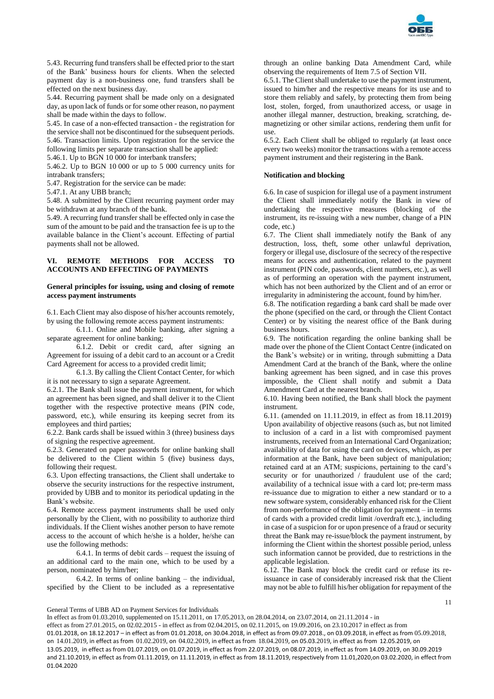

5.43. Recurring fund transfers shall be effected prior to the start of the Bank' business hours for clients. When the selected payment day is a non-business one, fund transfers shall be effected on the next business day.

5.44. Recurring payment shall be made only on a designated day, as upon lack of funds or for some other reason, no payment shall be made within the days to follow.

5.45. In case of a non-effected transaction - the registration for the service shall not be discontinued for the subsequent periods. 5.46. Transaction limits. Upon registration for the service the following limits per separate transaction shall be applied:

5.46.1. Up to BGN 10 000 for interbank transfers;

5.46.2. Up to BGN 10 000 or up to 5 000 currency units for intrabank transfers;

5.47. Registration for the service can be made:

5.47.1. At any UBB branch;

5.48. A submitted by the Client recurring payment order may be withdrawn at any branch of the bank.

5.49. A recurring fund transfer shall be effected only in case the sum of the amount to be paid and the transaction fee is up to the available balance in the Client's account. Effecting of partial payments shall not be allowed.

# **VI. REMOTE METHODS FOR ACCESS TO ACCOUNTS AND EFFECTING OF PAYMENTS**

# **General principles for issuing, using and closing of remote access payment instruments**

6.1. Each Client may also dispose of his/her accounts remotely, by using the following remote access payment instruments:

6.1.1. Online and Mobile banking, after signing a separate agreement for online banking;

6.1.2. Debit or credit card, after signing an Agreement for issuing of a debit card to an account or a Credit Card Agreement for access to a provided credit limit;

6.1.3. By calling the Client Contact Center, for which it is not necessary to sign a separate Agreement.

6.2.1. The Bank shall issue the payment instrument, for which an agreement has been signed, and shall deliver it to the Client together with the respective protective means (PIN code, password, etc.), while ensuring its keeping secret from its employees and third parties;

6.2.2. Bank cards shall be issued within 3 (three) business days of signing the respective agreement.

6.2.3. Generated on paper passwords for online banking shall be delivered to the Client within 5 (five) business days, following their request.

6.3. Upon effecting transactions, the Client shall undertake to observe the security instructions for the respective instrument, provided by UBB and to monitor its periodical updating in the Bank's website.

6.4. Remote access payment instruments shall be used only personally by the Client, with no possibility to authorize third individuals. If the Client wishes another person to have remote access to the account of which he/she is a holder, he/she can use the following methods:

6.4.1. In terms of debit cards – request the issuing of an additional card to the main one, which to be used by a person, nominated by him/her;

6.4.2. In terms of online banking – the individual, specified by the Client to be included as a representative

through an online banking Data Amendment Card, while observing the requirements of Item 7.5 of Section VII.

6.5.1. The Client shall undertake to use the payment instrument, issued to him/her and the respective means for its use and to store them reliably and safely, by protecting them from being lost, stolen, forged, from unauthorized access, or usage in another illegal manner, destruction, breaking, scratching, demagnetizing or other similar actions, rendering them unfit for use.

6.5.2. Each Client shall be obliged to regularly (at least once every two weeks) monitor the transactions with a remote access payment instrument and their registering in the Bank.

#### **Notification and blocking**

6.6. In case of suspicion for illegal use of a payment instrument the Client shall immediately notify the Bank in view of undertaking the respective measures (blocking of the instrument, its re-issuing with a new number, change of a PIN code, etc.)

6.7. The Client shall immediately notify the Bank of any destruction, loss, theft, some other unlawful deprivation, forgery or illegal use, disclosure of the secrecy of the respective means for access and authentication, related to the payment instrument (PIN code, passwords, client numbers, etc.), as well as of performing an operation with the payment instrument, which has not been authorized by the Client and of an error or irregularity in administering the account, found by him/her.

6.8. The notification regarding a bank card shall be made over the phone (specified on the card, or through the Client Contact Center) or by visiting the nearest office of the Bank during business hours.

6.9. The notification regarding the online banking shall be made over the phone of the Client Contact Centre (indicated on the Bank's website) or in writing, through submitting a Data Amendment Card at the branch of the Bank, where the online banking agreement has been signed, and in case this proves impossible, the Client shall notify and submit a Data Amendment Card at the nearest branch.

6.10. Having been notified, the Bank shall block the payment instrument.

6.11. (amended on 11.11.2019, in effect as from 18.11.2019) Upon availability of objective reasons (such as, but not limited to inclusion of a card in a list with compromised payment instruments, received from an International Card Organization; availability of data for using the card on devices, which, as per information at the Bank, have been subject of manipulation; retained card at an ATM; suspicions, pertaining to the card's security or for unauthorized / fraudulent use of the card; availability of a technical issue with a card lot; pre-term mass re-issuance due to migration to either a new standard or to a new software system, considerably enhanced risk for the Client from non-performance of the obligation for payment – in terms of cards with a provided credit limit /overdraft etc.), including in case of a suspicion for or upon presence of a fraud or security threat the Bank may re-issue/block the payment instrument, by informing the Client within the shortest possible period, unless such information cannot be provided, due to restrictions in the applicable legislation.

6.12. The Bank may block the credit card or refuse its reissuance in case of considerably increased risk that the Client may not be able to fulfill his/her obligation for repayment of the

11

General Terms of UBB AD on Payment Services for Individuals

In effect as from 01.03.2010, supplemented on 15.11.2011, on 17.05.2013, on 28.04.2014, on 23.07.2014, on 21.11.2014 - in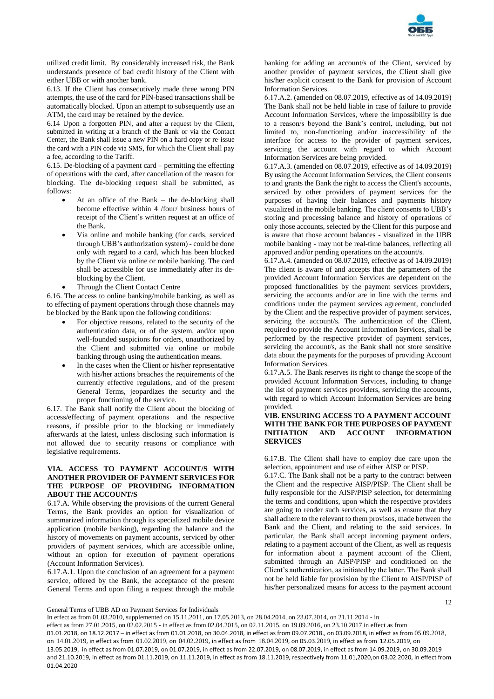

utilized credit limit. By considerably increased risk, the Bank understands presence of bad credit history of the Client with either UBB or with another bank.

6.13. If the Client has consecutively made three wrong PIN attempts, the use of the card for PIN-based transactions shall be automatically blocked. Upon an attempt to subsequently use an ATM, the card may be retained by the device.

6.14 Upon a forgotten PIN, and after a request by the Client, submitted in writing at a branch of the Bank or via the Contact Center, the Bank shall issue a new PIN on a hard copy or re-issue the card with a PIN code via SMS, for which the Client shall pay a fee, according to the Tariff.

6.15. De-blocking of a payment card – permitting the effecting of operations with the card, after cancellation of the reason for blocking. The de-blocking request shall be submitted, as follows:

- At an office of the Bank the de-blocking shall become effective within 4 /four/ business hours of receipt of the Client's written request at an office of the Bank.
- Via online and mobile banking (for cards, serviced through UBB's authorization system) - could be done only with regard to a card, which has been blocked by the Client via online or mobile banking. The card shall be accessible for use immediately after its deblocking by the Client.
- Through the Client Contact Centre

6.16. The access to online banking/mobile banking, as well as to effecting of payment operations through those channels may be blocked by the Bank upon the following conditions:

- For objective reasons, related to the security of the authentication data, or of the system, and/or upon well-founded suspicions for orders, unauthorized by the Client and submitted via online or mobile banking through using the authentication means.
- In the cases when the Client or his/her representative with his/her actions breaches the requirements of the currently effective regulations, and of the present General Terms, jeopardizes the security and the proper functioning of the service.

6.17. The Bank shall notify the Client about the blocking of access/effecting of payment operations and the respective reasons, if possible prior to the blocking or immediately afterwards at the latest, unless disclosing such information is not allowed due to security reasons or compliance with legislative requirements.

# **VIA. ACCESS TO PAYMENT ACCOUNT/S WITH ANOTHER PROVIDER OF PAYMENT SERVICES FOR THE PURPOSE OF PROVIDING INFORMATION ABOUT THE ACCOUNT/S**

6.17.A. While observing the provisions of the current General Terms, the Bank provides an option for visualization of summarized information through its specialized mobile device application (mobile banking), regarding the balance and the history of movements on payment accounts, serviced by other providers of payment services, which are accessible online, without an option for execution of payment operations (Account Information Services).

6.17.A.1. Upon the conclusion of an agreement for a payment service, offered by the Bank, the acceptance of the present General Terms and upon filing a request through the mobile banking for adding an account/s of the Client, serviced by another provider of payment services, the Client shall give his/her explicit consent to the Bank for provision of Account Information Services.

6.17.А.2. (amended on 08.07.2019, effective as of 14.09.2019) The Bank shall not be held liable in case of failure to provide Account Information Services, where the impossibility is due to a reason/s beyond the Bank's control, including, but not limited to, non-functioning and/or inaccessibility of the interface for access to the provider of payment services, servicing the account with regard to which Account Information Services are being provided.

6.17.A.3. (amended on 08.07.2019, effective as of 14.09.2019) By using the Account Information Services, the Client consents to and grants the Bank the right to access the Client's accounts, serviced by other providers of payment services for the purposes of having their balances and payments history visualized in the mobile banking. The client consents to UBB's storing and processing balance and history of operations of only those accounts, selected by the Client for this purpose and is aware that those account balances - visualized in the UBB mobile banking - may not be real-time balances, reflecting all approved and/or pending operations on the account/s.

6.17.A.4. (amended on 08.07.2019, effective as of 14.09.2019) The client is aware of and accepts that the parameters of the provided Account Information Services are dependent on the proposed functionalities by the payment services providers, servicing the accounts and/or are in line with the terms and conditions under the payment services agreement, concluded by the Client and the respective provider of payment services, servicing the account/s. The authentication of the Client, required to provide the Account Information Services, shall be performed by the respective provider of payment services, servicing the account/s, as the Bank shall not store sensitive data about the payments for the purposes of providing Account Information Services.

6.17.A.5. The Bank reserves its right to change the scope of the provided Account Information Services, including to change the list of payment services providers, servicing the accounts, with regard to which Account Information Services are being provided.

# **VIB. ENSURING ACCESS TO A PAYMENT ACCOUNT WITH THE BANK FOR THE PURPOSES OF PAYMENT INITIATION AND ACCOUNT INFORMATION SERVICES**

6.17.B. The Client shall have to employ due care upon the selection, appointment and use of either AISP or PISP.

6.17.C. The Bank shall not be a party to the contract between the Client and the respective AISP/PISP. The Client shall be fully responsible for the AISP/PISP selection, for determining the terms and conditions, upon which the respective providers are going to render such services, as well as ensure that they shall adhere to the relevant to them provisos, made between the Bank and the Client, and relating to the said services. In particular, the Bank shall accept incoming payment orders, relating to a payment account of the Client, as well as requests for information about a payment account of the Client, submitted through an AISP/PISP and conditioned on the Client's authentication, as initiated by the latter. The Bank shall not be held liable for provision by the Client to AISP/PISP of his/her personalized means for access to the payment account

12

General Terms of UBB AD on Payment Services for Individuals

In effect as from 01.03.2010, supplemented on 15.11.2011, on 17.05.2013, on 28.04.2014, on 23.07.2014, on 21.11.2014 - in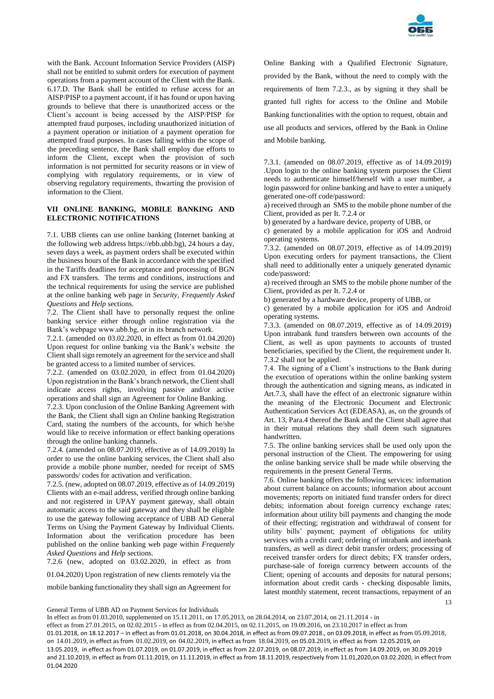

with the Bank. Account Information Service Providers (AISP) shall not be entitled to submit orders for execution of payment operations from a payment account of the Client with the Bank. 6.17.D. The Bank shall be entitled to refuse access for an AISP/PISP to a payment account, if it has found or upon having grounds to believe that there is unauthorized access or the Client's account is being accessed by the AISP/PISP for attempted fraud purposes, including unauthorized initiation of a payment operation or initiation of a payment operation for attempted fraud purposes. In cases falling within the scope of the preceding sentence, the Bank shall employ due efforts to inform the Client, except when the provision of such information is not permitted for security reasons or in view of complying with regulatory requirements, or in view of observing regulatory requirements, thwarting the provision of information to the Client.

# **VII ONLINE BANKING, MOBILE BANKING AND ELECTRONIC NOTIFICATIONS**

7.1. UBB clients can use online banking (Internet banking at the following web address https://ebb.ubb.bg), 24 hours a day, seven days a week, as payment orders shall be executed within the business hours of the Bank in accordance with the specified in the Tariffs deadlines for acceptance and processing of BGN and FX transfers. The terms and conditions, instructions and the technical requirements for using the service are published at the online banking web page in *Security*, *Frequently Asked Questions* and *Help* sections.

7.2. The Client shall have to personally request the online banking service either through online registration via the Bank's webpage www.ubb.bg, or in its branch network.

7.2.1. (amended on 03.02.2020, in effect as from 01.04.2020) Upon request for online banking via the Bank's website the Client shall sign remotely an agreement for the service and shall be granted access to a limited number of services.

7.2.2. (amended on 03.02.2020, in effect from 01.04.2020) Upon registration in the Bank's branch network, the Client shall indicate access rights, involving passive and/or active operations and shall sign an Agreement for Online Banking.

7.2.3. Upon conclusion of the Online Banking Agreement with the Bank, the Client shall sign an Online banking Registration Card, stating the numbers of the accounts, for which he/she would like to receive information or effect banking operations through the online banking channels.

7.2.4. (amended on 08.07.2019, effective as of 14.09.2019) In order to use the online banking services, the Client shall also provide a mobile phone number, needed for receipt of SMS passwords/ codes for activation and verification.

7.2.5. (new, adopted on 08.07.2019, effective as of 14.09.2019) Clients with an e-mail address, verified through online banking and not registered in UPAY payment gateway, shall obtain automatic access to the said gateway and they shall be eligible to use the gateway following acceptance of UBB AD General Terms on Using the Payment Gateway by Individual Clients. Information about the verification procedure has been published on the online banking web page within *Frequently Asked Questions* and *Help* sections.

7.2.6 (new, adopted on 03.02.2020, in effect as from

01.04.2020) Upon registration of new clients remotely via the

mobile banking functionality they shall sign an Agreement for

Online Banking with a Qualified Electronic Signature, provided by the Bank, without the need to comply with the requirements of Item 7.2.3., as by signing it they shall be granted full rights for access to the Online and Mobile Banking functionalities with the option to request, obtain and use all products and services, offered by the Bank in Online and Mobile banking.

7.3.1. (amended on 08.07.2019, effective as of 14.09.2019) .Upon login to the online banking system purposes the Client needs to authenticate himself/herself with a user number, a login password for online banking and have to enter a uniquely generated one-off code/password:

a) received through an SMS to the mobile phone number of the Client, provided as per It. 7.2.4 or

b) generated by a hardware device, property of UBB, or

c) generated by a mobile application for iOS and Android operating systems.

7.3.2. (amended on 08.07.2019, effective as of 14.09.2019) Upon executing orders for payment transactions, the Client shall need to additionally enter a uniquely generated dynamic code/password:

a) received through an SMS to the mobile phone number of the Client, provided as per It. 7.2.4 or

b) generated by a hardware device, property of UBB, or

c) generated by a mobile application for iOS and Android operating systems.

7.3.3. (amended on 08.07.2019, effective as of 14.09.2019) Upon intrabank fund transfers between own accounts of the Client, as well as upon payments to accounts of trusted beneficiaries, specified by the Client, the requirement under It. 7.3.2 shall not be applied.

7.4. The signing of a Client's instructions to the Bank during the execution of operations within the online banking system through the authentication and signing means, as indicated in Art.7.3, shall have the effect of an electronic signature within the meaning of the Electronic Document and Electronic Authentication Services Act (EDEASA), as, on the grounds of Art. 13, Para.4 thereof the Bank and the Client shall agree that in their mutual relations they shall deem such signatures handwritten.

7.5. The online banking services shall be used only upon the personal instruction of the Client. The empowering for using the online banking service shall be made while observing the requirements in the present General Terms.

13 7.6. Online banking offers the following services: information about current balance on accounts; information about account movements; reports on initiated fund transfer orders for direct debits; information about foreign currency exchange rates; information about utility bill payments and changing the mode of their effecting; registration and withdrawal of consent for utility bills' payment; payment of obligations for utility services with a credit card; ordering of intrabank and interbank transfers, as well as direct debit transfer orders; processing of received transfer orders for direct debits; FX transfer orders, purchase-sale of foreign currency between accounts of the Client; opening of accounts and deposits for natural persons; information about credit cards - checking disposable limits, latest monthly statement, recent transactions, repayment of an

General Terms of UBB AD on Payment Services for Individuals

In effect as from 01.03.2010, supplemented on 15.11.2011, on 17.05.2013, on 28.04.2014, on 23.07.2014, on 21.11.2014 - in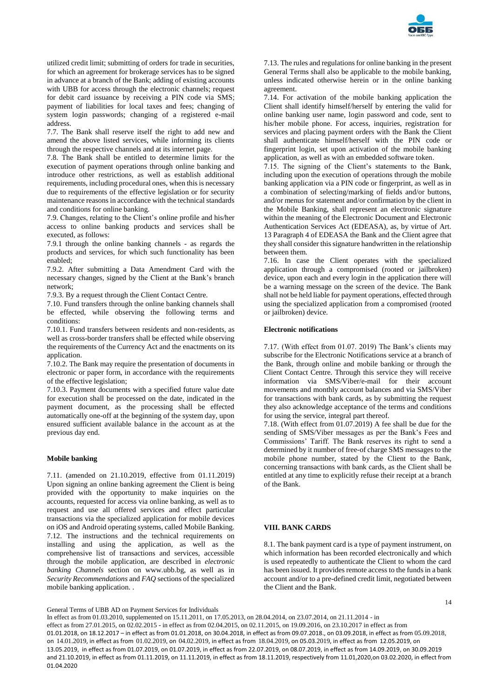

utilized credit limit; submitting of orders for trade in securities, for which an agreement for brokerage services has to be signed in advance at a branch of the Bank; adding of existing accounts with UBB for access through the electronic channels; request for debit card issuance by receiving a PIN code via SMS; payment of liabilities for local taxes and fees; changing of system login passwords; changing of a registered e-mail address.

7.7. The Bank shall reserve itself the right to add new and amend the above listed services, while informing its clients through the respective channels and at its internet page.

7.8. The Bank shall be entitled to determine limits for the execution of payment operations through online banking and introduce other restrictions, as well as establish additional requirements, including procedural ones, when this is necessary due to requirements of the effective legislation or for security maintenance reasons in accordance with the technical standards and conditions for online banking.

7.9. Changes, relating to the Client's online profile and his/her access to online banking products and services shall be executed, as follows:

7.9.1 through the online banking channels - as regards the products and services, for which such functionality has been enabled;

7.9.2. After submitting a Data Amendment Card with the necessary changes, signed by the Client at the Bank's branch network;

7.9.3. By a request through the Client Contact Centre.

7.10. Fund transfers through the online banking channels shall be effected, while observing the following terms and conditions:

7.10.1. Fund transfers between residents and non-residents, as well as cross-border transfers shall be effected while observing the requirements of the Currency Act and the enactments on its application.

7.10.2. The Bank may require the presentation of documents in electronic or paper form, in accordance with the requirements of the effective legislation;

7.10.3. Payment documents with a specified future value date for execution shall be processed on the date, indicated in the payment document, as the processing shall be effected automatically one-off at the beginning of the system day, upon ensured sufficient available balance in the account as at the previous day end.

## **Mobile banking**

7.11. (amended on 21.10.2019, effective from 01.11.2019) Upon signing an online banking agreement the Client is being provided with the opportunity to make inquiries on the accounts, requested for access via online banking, as well as to request and use all offered services and effect particular transactions via the specialized application for mobile devices on iOS and Android operating systems, called Mobile Banking. 7.12. The instructions and the technical requirements on installing and using the application, as well as the comprehensive list of transactions and services, accessible through the mobile application, are described in *electronic banking Channels* section on www.ubb.bg, as well as in *Security Recommendations* and *FAQ* sections of the specialized mobile banking application. .

7.13. The rules and regulations for online banking in the present General Terms shall also be applicable to the mobile banking, unless indicated otherwise herein or in the online banking agreement.

7.14. For activation of the mobile banking application the Client shall identify himself/herself by entering the valid for online banking user name, login password and code, sent to his/her mobile phone. For access, inquiries, registration for services and placing payment orders with the Bank the Client shall authenticate himself/herself with the PIN code or fingerprint login, set upon activation of the mobile banking application, as well as with an embedded software token.

7.15. The signing of the Client's statements to the Bank, including upon the execution of operations through the mobile banking application via a PIN code or fingerprint, as well as in a combination of selecting/marking of fields and/or buttons, and/or menus for statement and/or confirmation by the client in the Mobile Banking, shall represent an electronic signature within the meaning of the Electronic Document and Electronic Authentication Services Act (EDEASA), as, by virtue of Art. 13 Paragraph 4 of EDEASA the Bank and the Client agree that they shall consider this signature handwritten in the relationship between them.

7.16. In case the Client operates with the specialized application through a compromised (rooted or jailbroken) device, upon each and every login in the application there will be a warning message on the screen of the device. The Bank shall not be held liable for payment operations, effected through using the specialized application from a compromised (rooted or jailbroken) device.

# **Electronic notifications**

7.17. (With effect from 01.07. 2019) The Bank's clients may subscribe for the Electronic Notifications service at a branch of the Bank, through online and mobile banking or through the Client Contact Centre. Through this service they will receive information via SMS/Viber/e-mail for their account movements and monthly account balances and via SMS/Viber for transactions with bank cards, as by submitting the request they also acknowledge acceptance of the terms and conditions for using the service, integral part thereof.

7.18. (With effect from 01.07.2019) A fee shall be due for the sending of SMS/Viber messages as per the Bank's Fees and Commissions' Tariff. The Bank reserves its right to send a determined by it number of free-of charge SMS messages to the mobile phone number, stated by the Client to the Bank, concerning transactions with bank cards, as the Client shall be entitled at any time to explicitly refuse their receipt at a branch of the Bank.

# **VIII. BANK CARDS**

8.1. The bank payment card is a type of payment instrument, on which information has been recorded electronically and which is used repeatedly to authenticate the Client to whom the card has been issued. It provides remote access to the funds in a bank account and/or to a pre-defined credit limit, negotiated between the Client and the Bank.

14

General Terms of UBB AD on Payment Services for Individuals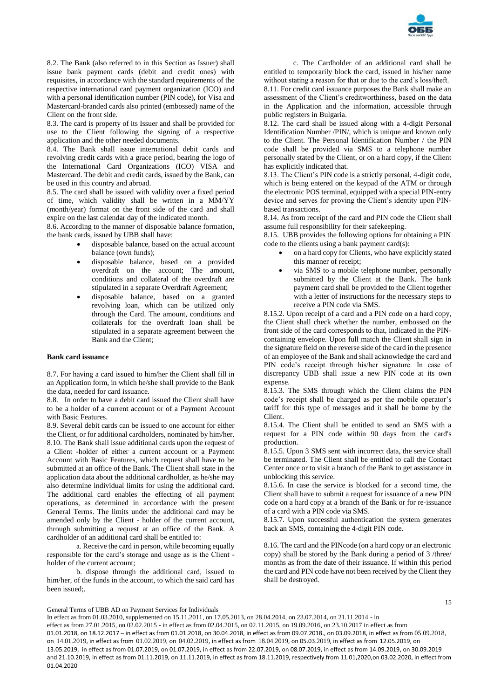

8.2. The Bank (also referred to in this Section as Issuer) shall issue bank payment cards (debit and credit ones) with requisites, in accordance with the standard requirements of the respective international card payment organization (ICO) and with a personal identification number (PIN code), for Visa and Mastercard-branded cards also printed (embossed) name of the Client on the front side.

8.3. The card is property of its Issuer and shall be provided for use to the Client following the signing of a respective application and the other needed documents.

8.4. The Bank shall issue international debit cards and revolving credit cards with a grace period, bearing the logo of the International Card Organizations (ICO) VISA and Mastercard. The debit and credit cards, issued by the Bank, can be used in this country and abroad.

8.5. The card shall be issued with validity over a fixed period of time, which validity shall be written in a MM/YY (month/year) format on the front side of the card and shall expire on the last calendar day of the indicated month.

8.6. According to the manner of disposable balance formation, the bank cards, issued by UBB shall have:

- disposable balance, based on the actual account balance (own funds);
- disposable balance, based on a provided overdraft on the account; The amount, conditions and collateral of the overdraft are stipulated in a separate Overdraft Agreement;
- disposable balance, based on a granted revolving loan, which can be utilized only through the Card. The amount, conditions and collaterals for the overdraft loan shall be stipulated in a separate agreement between the Bank and the Client;

## **Bank card issuance**

8.7. For having a card issued to him/her the Client shall fill in an Application form, in which he/she shall provide to the Bank the data, needed for card issuance.

8.8. In order to have a debit card issued the Client shall have to be a holder of a current account or of a Payment Account with Basic Features.

8.9. Several debit cards can be issued to one account for either the Client, or for additional cardholders, nominated by him/her. 8.10. The Bank shall issue additional cards upon the request of a Client -holder of either a current account or a Payment Account with Basic Features, which request shall have to be submitted at an office of the Bank. The Client shall state in the application data about the additional cardholder, as he/she may also determine individual limits for using the additional card. The additional card enables the effecting of all payment operations, as determined in accordance with the present General Terms. The limits under the additional card may be amended only by the Client - holder of the current account, through submitting a request at an office of the Bank. A cardholder of an additional card shall be entitled to:

а. Receive the card in person, while becoming equally responsible for the card's storage and usage as is the Client holder of the current account;

b. dispose through the additional card, issued to him/her, of the funds in the account, to which the said card has been issued;.

c. The Cardholder of an additional card shall be entitled to temporarily block the card, issued in his/her name without stating a reason for that or due to the card's loss/theft. 8.11. For credit card issuance purposes the Bank shall make an assessment of the Client's creditworthiness, based on the data in the Application and the information, accessible through public registers in Bulgaria.

8.12. The card shall be issued along with a 4-digit Personal Identification Number /PIN/, which is unique and known only to the Client. The Personal Identification Number / the PIN code shall be provided via SMS to a telephone number personally stated by the Client, or on a hard copy, if the Client has explicitly indicated that.

8.13. The Client's PIN code is a strictly personal, 4-digit code, which is being entered on the keypad of the ATM or through the electronic POS terminal, equipped with a special PIN-entry device and serves for proving the Client's identity upon PINbased transactions.

8.14. As from receipt of the card and PIN code the Client shall assume full responsibility for their safekeeping.

8.15. UBB provides the following options for obtaining a PIN code to the clients using a bank payment card(s):

- on a hard copy for Clients, who have explicitly stated this manner of receipt;
- via SMS to a mobile telephone number, personally submitted by the Client at the Bank. The bank payment card shall be provided to the Client together with a letter of instructions for the necessary steps to receive a PIN code via SMS.

8.15.2. Upon receipt of a card and a PIN code on a hard copy, the Client shall check whether the number, embossed on the front side of the card corresponds to that, indicated in the PINcontaining envelope. Upon full match the Client shall sign in the signature field on the reverse side of the card in the presence of an employee of the Bank and shall acknowledge the card and PIN code's receipt through his/her signature. In case of discrepancy UBB shall issue a new PIN code at its own expense.

8.15.3. The SMS through which the Client claims the PIN code's receipt shall be charged as per the mobile operator's tariff for this type of messages and it shall be borne by the Client.

8.15.4. The Client shall be entitled to send an SMS with a request for a PIN code within 90 days from the card's production.

8.15.5. Upon 3 SMS sent with incorrect data, the service shall be terminated. The Client shall be entitled to call the Contact Center once or to visit a branch of the Bank to get assistance in unblocking this service.

8.15.6. In case the service is blocked for a second time, the Client shall have to submit a request for issuance of a new PIN code on a hard copy at a branch of the Bank or for re-issuance of a card with a PIN code via SMS.

8.15.7. Upon successful authentication the system generates back an SMS, containing the 4-digit PIN code.

8.16. The card and the PINcode (on a hard copy or an electronic copy) shall be stored by the Bank during a period of 3 /three/ months as from the date of their issuance. If within this period the card and PIN code have not been received by the Client they shall be destroyed.

15

General Terms of UBB AD on Payment Services for Individuals

In effect as from 01.03.2010, supplemented on 15.11.2011, on 17.05.2013, on 28.04.2014, on 23.07.2014, on 21.11.2014 - in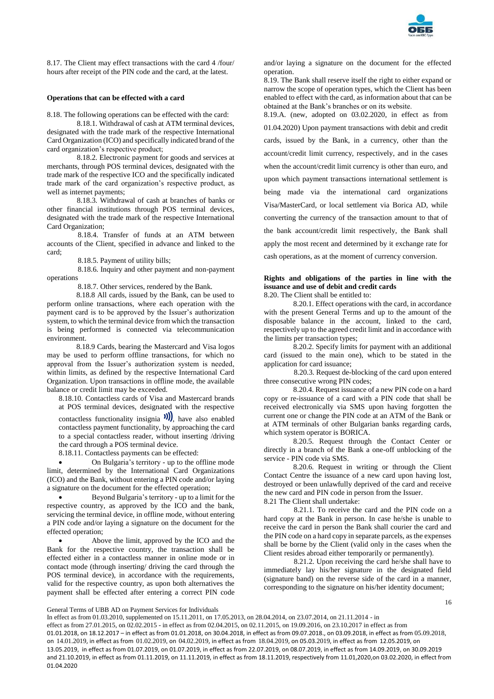

8.17. The Client may effect transactions with the card 4 /four/ hours after receipt of the PIN code and the card, at the latest.

# **Operations that can be effected with a card**

8.18. The following operations can be effected with the card:

8.18.1. Withdrawal of cash at ATM terminal devices, designated with the trade mark of the respective International Card Organization (ICO) and specifically indicated brand of the card organization's respective product;

8.18.2. Electronic payment for goods and services at merchants, through POS terminal devices, designated with the trade mark of the respective ICO and the specifically indicated trade mark of the card organization's respective product, as well as internet payments;

8.18.3. Withdrawal of cash at branches of banks or other financial institutions through POS terminal devices, designated with the trade mark of the respective International Card Organization;

8.18.4. Transfer of funds at an ATM between accounts of the Client, specified in advance and linked to the card;

8.18.5. Payment of utility bills;

8.18.6. Inquiry and other payment and non-payment operations

8.18.7. Other services, rendered by the Bank.

8.18.8 All cards, issued by the Bank, can be used to perform online transactions, where each operation with the payment card is to be approved by the Issuer's authorization system, to which the terminal device from which the transaction is being performed is connected via telecommunication environment.

8.18.9 Cards, bearing the Mastercard and Visa logos may be used to perform offline transactions, for which no approval from the Issuer's authorization system is needed, within limits, as defined by the respective International Card Organization. Upon transactions in offline mode, the available balance or credit limit may be exceeded.

8.18.10. Contactless cards of Visa and Mastercard brands at POS terminal devices, designated with the respective

contactless functionality insignia  $\mathcal{W}$ , have also enabled contactless payment functionality, by approaching the card to a special contactless reader, without inserting /driving the card through a POS terminal device.

8.18.11. Contactless payments can be effected:

 On Bulgaria's territory - up to the offline mode limit, determined by the International Card Organizations (ICO) and the Bank, without entering a PIN code and/or laying a signature on the document for the effected operation;

 Beyond Bulgaria's territory - up to a limit for the respective country, as approved by the ICO and the bank, servicing the terminal device, in offline mode, without entering a PIN code and/or laying a signature on the document for the effected operation;

 Above the limit, approved by the ICO and the Bank for the respective country, the transaction shall be effected either in a contactless manner in online mode or in contact mode (through inserting/ driving the card through the POS terminal device), in accordance with the requirements, valid for the respective country, as upon both alternatives the payment shall be effected after entering a correct PIN code and/or laying a signature on the document for the effected operation.

8.19. The Bank shall reserve itself the right to either expand or narrow the scope of operation types, which the Client has been enabled to effect with the card, as information about that can be obtained at the Bank's branches or on its website.

8.19.A. (new, adopted on 03.02.2020, in effect as from 01.04.2020) Upon payment transactions with debit and credit cards, issued by the Bank, in a currency, other than the account/credit limit currency, respectively, and in the cases when the account/credit limit currency is other than euro, and upon which payment transactions international settlement is being made via the international card organizations Visa/MasterCard, or local settlement via Borica AD, while converting the currency of the transaction amount to that of the bank account/credit limit respectively, the Bank shall apply the most recent and determined by it exchange rate for cash operations, as at the moment of currency conversion.

# **Rights and obligations of the parties in line with the issuance and use of debit and credit cards**

8.20. The Client shall be entitled to:

8.20.1. Effect operations with the card, in accordance with the present General Terms and up to the amount of the disposable balance in the account, linked to the card, respectively up to the agreed credit limit and in accordance with the limits per transaction types;

8.20.2. Specify limits for payment with an additional card (issued to the main one), which to be stated in the application for card issuance;

8.20.3. Request de-blocking of the card upon entered three consecutive wrong PIN codes;

8.20.4. Request issuance of a new PIN code on a hard copy or re-issuance of a card with a PIN code that shall be received electronically via SMS upon having forgotten the current one or change the PIN code at an ATM of the Bank or at ATM terminals of other Bulgarian banks regarding cards, which system operator is BORICA.

8.20.5. Request through the Contact Center or directly in a branch of the Bank a one-off unblocking of the service - PIN code via SMS.

8.20.6. Request in writing or through the Client Contact Centre the issuance of a new card upon having lost, destroyed or been unlawfully deprived of the card and receive the new card and PIN code in person from the Issuer.

8.21 The Client shall undertake:

8.21.1. To receive the card and the PIN code on a hard copy at the Bank in person. In case he/she is unable to receive the card in person the Bank shall courier the card and the PIN code on a hard copy in separate parcels, as the expenses shall be borne by the Client (valid only in the cases when the Client resides abroad either temporarily or permanently).

8.21.2. Upon receiving the card he/she shall have to immediately lay his/her signature in the designated field (signature band) on the reverse side of the card in a manner, corresponding to the signature on his/her identity document;

General Terms of UBB AD on Payment Services for Individuals

In effect as from 01.03.2010, supplemented on 15.11.2011, on 17.05.2013, on 28.04.2014, on 23.07.2014, on 21.11.2014 - in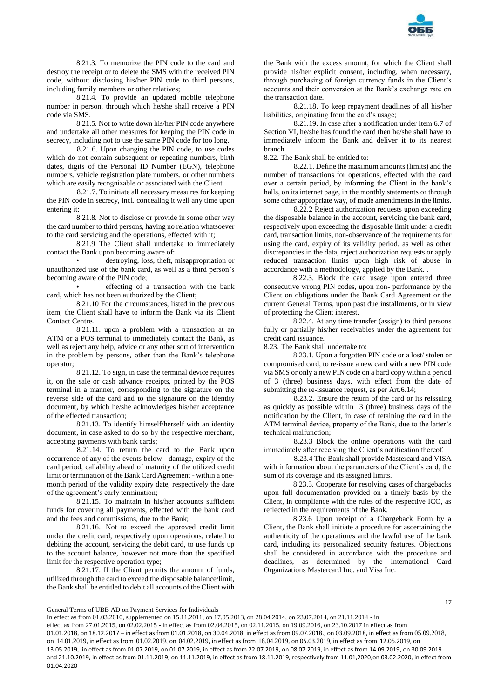

8.21.3. To memorize the PIN code to the card and destroy the receipt or to delete the SMS with the received PIN code, without disclosing his/her PIN code to third persons, including family members or other relatives;

8.21.4. To provide an updated mobile telephone number in person, through which he/she shall receive a PIN code via SMS.

8.21.5. Not to write down his/her PIN code anywhere and undertake all other measures for keeping the PIN code in secrecy, including not to use the same PIN code for too long.

8.21.6. Upon changing the PIN code, to use codes which do not contain subsequent or repeating numbers, birth dates, digits of the Personal ID Number (EGN), telephone numbers, vehicle registration plate numbers, or other numbers which are easily recognizable or associated with the Client.

8.21.7. To initiate all necessary measures for keeping the PIN code in secrecy, incl. concealing it well any time upon entering it;

8.21.8. Not to disclose or provide in some other way the card number to third persons, having no relation whatsoever to the card servicing and the operations, effected with it;

8.21.9 The Client shall undertake to immediately contact the Bank upon becoming aware of:

• destroying, loss, theft, misappropriation or unauthorized use of the bank card, as well as a third person's becoming aware of the PIN code;

• effecting of a transaction with the bank card, which has not been authorized by the Client;

8.21.10 For the circumstances, listed in the previous item, the Client shall have to inform the Bank via its Client Contact Centre.

8.21.11. upon a problem with a transaction at an ATM or a POS terminal to immediately contact the Bank, as well as reject any help, advice or any other sort of intervention in the problem by persons, other than the Bank's telephone operator;

8.21.12. To sign, in case the terminal device requires it, on the sale or cash advance receipts, printed by the POS terminal in a manner, corresponding to the signature on the reverse side of the card and to the signature on the identity document, by which he/she acknowledges his/her acceptance of the effected transaction;

8.21.13. To identify himself/herself with an identity document, in case asked to do so by the respective merchant, accepting payments with bank cards;

8.21.14. To return the card to the Bank upon occurrence of any of the events below - damage, expiry of the card period, callability ahead of maturity of the utilized credit limit or termination of the Bank Card Agreement - within a onemonth period of the validity expiry date, respectively the date of the agreement's early termination;

8.21.15. To maintain in his/her accounts sufficient funds for covering all payments, effected with the bank card and the fees and commissions, due to the Bank;

8.21.16. Not to exceed the approved credit limit under the credit card, respectively upon operations, related to debiting the account, servicing the debit card, to use funds up to the account balance, however not more than the specified limit for the respective operation type;

8.21.17. If the Client permits the amount of funds, utilized through the card to exceed the disposable balance/limit, the Bank shall be entitled to debit all accounts of the Client with

the Bank with the excess amount, for which the Client shall provide his/her explicit consent, including, when necessary, through purchasing of foreign currency funds in the Client's accounts and their conversion at the Bank's exchange rate on the transaction date.

8.21.18. To keep repayment deadlines of all his/her liabilities, originating from the card's usage;

8.21.19. In case after a notification under Item 6.7 of Section VI, he/she has found the card then he/she shall have to immediately inform the Bank and deliver it to its nearest branch.

8.22. The Bank shall be entitled to:

8.22.1. Define the maximum amounts (limits) and the number of transactions for operations, effected with the card over a certain period, by informing the Client in the bank's halls, on its internet page, in the monthly statements or through some other appropriate way, of made amendments in the limits.

8.22.2 Reject authorization requests upon exceeding the disposable balance in the account, servicing the bank card, respectively upon exceeding the disposable limit under a credit card, transaction limits, non-observance of the requirements for using the card, expiry of its validity period, as well as other discrepancies in the data; reject authorization requests or apply reduced transaction limits upon high risk of abuse in accordance with a methodology, applied by the Bank. .

8.22.3. Block the card usage upon entered three consecutive wrong PIN codes, upon non- performance by the Client on obligations under the Bank Card Agreement or the current General Terms, upon past due installments, or in view of protecting the Client interest.

8.22.4. At any time transfer (assign) to third persons fully or partially his/her receivables under the agreement for credit card issuance.

8.23. The Bank shall undertake to:

8.23.1. Upon a forgotten PIN code or a lost/ stolen or compromised card, to re-issue a new card with a new PIN code via SMS or only a new PIN code on a hard copy within a period of 3 (three) business days, with effect from the date of submitting the re-issuance request, as per Art.6.14;

8.23.2. Ensure the return of the card or its reissuing as quickly as possible within 3 (three) business days of the notification by the Client, in case of retaining the card in the ATM terminal device, property of the Bank, due to the latter's technical malfunction;

8.23.3 Block the online operations with the card immediately after receiving the Client's notification thereof.

8.23.4 The Bank shall provide Mastercard and VISA with information about the parameters of the Client's card, the sum of its coverage and its assigned limits.

8.23.5. Cooperate for resolving cases of chargebacks upon full documentation provided on a timely basis by the Client, in compliance with the rules of the respective ICO, as reflected in the requirements of the Bank.

8.23.6 Upon receipt of a Chargeback Form by a Client, the Bank shall initiate a procedure for ascertaining the authenticity of the operation/s and the lawful use of the bank card, including its personalized security features. Objections shall be considered in accordance with the procedure and deadlines, as determined by the International Card Organizations Mastercard Inc. and Visa Inc.

General Terms of UBB AD on Payment Services for Individuals

In effect as from 01.03.2010, supplemented on 15.11.2011, on 17.05.2013, on 28.04.2014, on 23.07.2014, on 21.11.2014 - in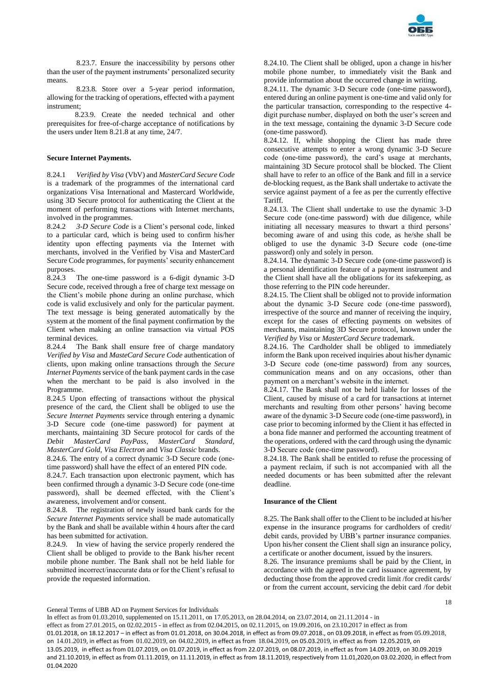

8.23.7. Ensure the inaccessibility by persons other than the user of the payment instruments' personalized security means.

8.23.8. Store over a 5-year period information, allowing for the tracking of operations, effected with a payment instrument;

 8.23.9. Create the needed technical and other prerequisites for free-of-charge acceptance of notifications by the users under Item 8.21.8 at any time, 24/7.

## **Secure Internet Payments.**

8.24.1 *Verified by Visa* (VbV) and *MasterCard Secure Code* is a trademark of the programmes of the international card organizations Visa International and Mastercard Worldwide, using 3D Secure protocol for authenticating the Client at the moment of performing transactions with Internet merchants, involved in the programmes.

8.24.2 *3-D Secure Code* is a Client's personal code, linked to a particular card, which is being used to confirm his/her identity upon effecting payments via the Internet with merchants, involved in the Verified by Visa and MasterCard Secure Code programmes, for payments' security enhancement purposes.

8.24.3 The one-time password is a 6-digit dynamic 3-D Secure code, received through a free of charge text message on the Client's mobile phone during an online purchase, which code is valid exclusively and only for the particular payment. The text message is being generated automatically by the system at the moment of the final payment confirmation by the Client when making an online transaction via virtual POS terminal devices.

8.24.4 The Bank shall ensure free of charge mandatory *Verified by Visa* and *MasteCard Secure Code* authentication of clients, upon making online transactions through the *Secure Internet Payments* service of the bank payment cards in the case when the merchant to be paid is also involved in the Programme

8.24.5 Upon effecting of transactions without the physical presence of the card, the Client shall be obliged to use the *Secure Internet Payments* service through entering a dynamic 3-D Secure code (one-time password) for payment at merchants, maintaining 3D Secure protocol for cards of the *Debit MasterCard PayPass, MasterCard Standard, MasterCard Gold, Visa Electron* and *Visa Classic* brands.

8.24.6. The entry of a correct dynamic 3-D Secure code (оnetime password) shall have the effect of an entered PIN code.

8.24.7. Each transaction upon electronic payment, which has been confirmed through a dynamic 3-D Secure code (one-time password), shall be deemed effected, with the Client's awareness, involvement and/or consent.

8.24.8. The registration of newly issued bank cards for the *Secure Internet Payments* service shall be made automatically by the Bank and shall be available within 4 hours after the card has been submitted for activation.

8.24.9. In view of having the service properly rendered the Client shall be obliged to provide to the Bank his/her recent mobile phone number. The Bank shall not be held liable for submitted incorrect/inaccurate data or for the Client's refusal to provide the requested information.

8.24.10. The Client shall be obliged, upon a change in his/her mobile phone number, to immediately visit the Bank and provide information about the occurred change in writing.

8.24.11. The dynamic 3-D Secure code (one-time password), entered during an online payment is one-time and valid only for the particular transaction, corresponding to the respective 4 digit purchase number, displayed on both the user's screen and in the text message, containing the dynamic 3-D Secure code (one-time password).

8.24.12. If, while shopping the Client has made three consecutive attempts to enter a wrong dynamic 3-D Secure code (оne-time password), the card's usage at merchants, maintaining 3D Secure protocol shall be blocked. The Client shall have to refer to an office of the Bank and fill in a service de-blocking request, as the Bank shall undertake to activate the service against payment of a fee as per the currently effective Tariff.

8.24.13. The Client shall undertake to use the dynamic 3-D Secure code (one-time password) with due diligence, while initiating all necessary measures to thwart a third persons' becoming aware of and using this code, as he/she shall be obliged to use the dynamic 3-D Secure code (оne-time password) only and solely in person.

8.24.14. The dynamic 3-D Secure code (one-time password) is a personal identification feature of a payment instrument and the Client shall have all the obligations for its safekeeping, as those referring to the PIN code hereunder.

8.24.15. The Client shall be obliged not to provide information about the dynamic 3-D Secure code (оne-time password), irrespective of the source and manner of receiving the inquiry, except for the cases of effecting payments on websites of merchants, maintaining 3D Secure protocol, known under the *Verified by Visa* or *MasterCard Secure* trademark.

8.24.16. The Cardholder shall be obliged to immediately inform the Bank upon received inquiries about his/her dynamic 3-D Secure code (оne-time password) from any sources, communication means and on any occasions, other than payment on a merchant's website in the internet.

8.24.17. The Bank shall not be held liable for losses of the Client, caused by misuse of a card for transactions at internet merchants and resulting from other persons' having become aware of the dynamic 3-D Secure code (оne-time password), in case prior to becoming informed by the Client it has effected in a bona fide manner and performed the accounting treatment of the operations, ordered with the card through using the dynamic 3-D Secure code (оne-time password).

8.24.18. The Bank shall be entitled to refuse the processing of a payment reclaim, if such is not accompanied with all the needed documents or has been submitted after the relevant deadline.

# **Insurance of the Client**

8.25. The Bank shall offer to the Client to be included at his/her expense in the insurance programs for cardholders of credit/ debit cards, provided by UBB's partner insurance companies. Upon his/her consent the Client shall sign an insurance policy, a certificate or another document, issued by the insurers.

8.26. The insurance premiums shall be paid by the Client, in accordance with the agreed in the card issuance agreement, by deducting those from the approved credit limit /for credit cards/ or from the current account, servicing the debit card /for debit

18

General Terms of UBB AD on Payment Services for Individuals

In effect as from 01.03.2010, supplemented on 15.11.2011, on 17.05.2013, on 28.04.2014, on 23.07.2014, on 21.11.2014 - in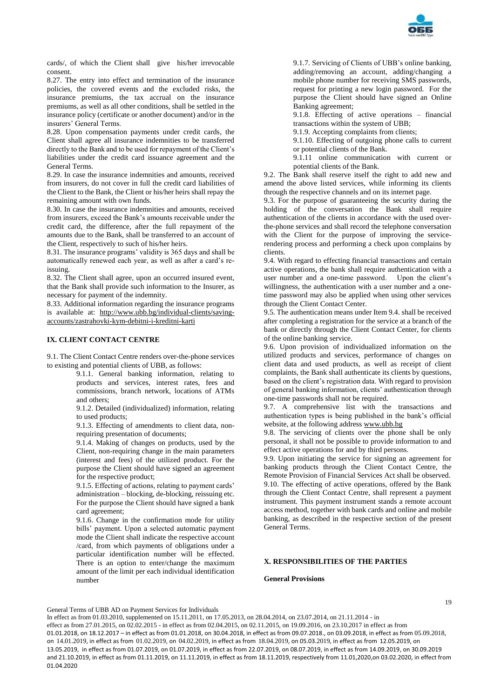

cards/, of which the Client shall give his/her irrevocable consent.

8.27. The entry into effect and termination of the insurance policies, the covered events and the excluded risks, the insurance premiums, the tax accrual on the insurance premiums, as well as all other conditions, shall be settled in the insurance policy (certificate or another document) and/or in the insurers' General Terms.

8.28. Upon compensation payments under credit cards, the Client shall agree all insurance indemnities to be transferred directly to the Bank and to be used for repayment of the Client's liabilities under the credit card issuance agreement and the General Terms.

8.29. In case the insurance indemnities and amounts, received from insurers, do not cover in full the credit card liabilities of the Client to the Bank, the Client or his/her heirs shall repay the remaining amount with own funds.

8.30. In case the insurance indemnities and amounts, received from insurers, exceed the Bank's amounts receivable under the credit card, the difference, after the full repayment of the amounts due to the Bank, shall be transferred to an account of the Client, respectively to such of his/her heirs.

8.31. The insurance programs' validity is 365 days and shall be automatically renewed each year, as well as after a card's reissuing.

8.32. The Client shall agree, upon an occurred insured event, that the Bank shall provide such information to the Insurer, as necessary for payment of the indemnity.

8.33. Additional information regarding the insurance programs is available at: [http://www.ubb.bg/individual-clients/saving](http://www.ubb.bg/individual-clients/saving-accounts/zastrahovki-kym-debitni-i-kreditni-karti)[accounts/zastrahovki-kym-debitni-i-kreditni-karti](http://www.ubb.bg/individual-clients/saving-accounts/zastrahovki-kym-debitni-i-kreditni-karti)

# **IX. CLIENT CONTACT CENTRE**

9.1. The Client Contact Centre renders over-the-phone services to existing and potential clients of UBB, as follows:

> 9.1.1. General banking information, relating to products and services, interest rates, fees and commissions, branch network, locations of ATMs and others;

> 9.1.2. Detailed (individualized) information, relating to used products;

> 9.1.3. Effecting of amendments to client data, nonrequiring presentation of documents;

> 9.1.4. Making of changes on products, used by the Client, non-requiring change in the main parameters (interest and fees) of the utilized product. For the purpose the Client should have signed an agreement for the respective product;

> 9.1.5. Effecting of actions, relating to payment cards' administration – blocking, de-blocking, reissuing etc. For the purpose the Client should have signed a bank card agreement;

> 9.1.6. Change in the confirmation mode for utility bills' payment. Upon a selected automatic payment mode the Client shall indicate the respective account /card, from which payments of obligations under a particular identification number will be effected. There is an option to enter/change the maximum amount of the limit per each individual identification number

9.1.7. Servicing of Clients of UBB's online banking, adding/removing an account, adding/changing a mobile phone number for receiving SMS passwords, request for printing a new login password. For the purpose the Client should have signed an Online Banking agreement;

9.1.8. Effecting of active operations – financial transactions within the system of UBB;

9.1.9. Accepting complaints from clients;

9.1.10. Effecting of outgoing phone calls to current or potential clients of the Bank.

9.1.11 online communication with current or potential clients of the Bank.

9.2. The Bank shall reserve itself the right to add new and amend the above listed services, while informing its clients through the respective channels and on its internet page.

9.3. For the purpose of guaranteeing the security during the holding of the conversation the Bank shall require authentication of the clients in accordance with the used overthe-phone services and shall record the telephone conversation with the Client for the purpose of improving the servicerendering process and performing a check upon complains by clients.

9.4. With regard to effecting financial transactions and certain active operations, the bank shall require authentication with a user number and a one-time password. Upon the client's willingness, the authentication with a user number and a onetime password may also be applied when using other services through the Client Contact Center.

9.5. The authentication means under Item 9.4. shall be received after completing a registration for the service at a branch of the bank or directly through the Client Contact Center, for clients of the online banking service.

9.6. Upon provision of individualized information on the utilized products and services, performance of changes on client data and used products, as well as receipt of client complaints, the Bank shall authenticate its clients by questions, based on the client's registration data. With regard to provision of general banking information, clients' authentication through one-time passwords shall not be required.

9.7. A comprehensive list with the transactions and authentication types is being published in the bank's official website, at the following addres[s www.ubb.bg](blocked::http://www.ubb.bg/)

9.8. The servicing of clients over the phone shall be only personal, it shall not be possible to provide information to and effect active operations for and by third persons.

9.9. Upon initiating the service for signing an agreement for banking products through the Client Contact Centre, the Remote Provision of Financial Services Act shall be observed. 9.10. The effecting of active operations, offered by the Bank through the Client Contact Centre, shall represent a payment instrument. This payment instrument stands a remote account access method, together with bank cards and online and mobile banking, as described in the respective section of the present General Terms.

# **X. RESPONSIBILITIES OF THE PARTIES**

## **General Provisions**

General Terms of UBB AD on Payment Services for Individuals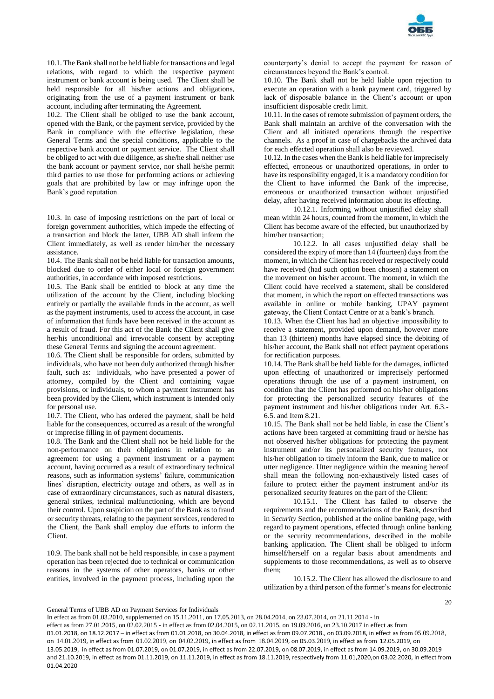

10.1. The Bank shall not be held liable for transactions and legal relations, with regard to which the respective payment instrument or bank account is being used. The Client shall be held responsible for all his/her actions and obligations, originating from the use of a payment instrument or bank account, including after terminating the Agreement.

10.2. The Client shall be obliged to use the bank account, opened with the Bank, or the payment service, provided by the Bank in compliance with the effective legislation, these General Terms and the special conditions, applicable to the respective bank account or payment service. The Client shall be obliged to act with due diligence, as she/he shall neither use the bank account or payment service, nor shall he/she permit third parties to use those for performing actions or achieving goals that are prohibited by law or may infringe upon the Bank's good reputation.

10.3. In case of imposing restrictions on the part of local or foreign government authorities, which impede the effecting of a transaction and block the latter, UBB AD shall inform the Client immediately, as well as render him/her the necessary assistance.

10.4. The Bank shall not be held liable for transaction amounts, blocked due to order of either local or foreign government authorities, in accordance with imposed restrictions.

10.5. The Bank shall be entitled to block at any time the utilization of the account by the Client, including blocking entirely or partially the available funds in the account, as well as the payment instruments, used to access the account, in case of information that funds have been received in the account as a result of fraud. For this act of the Bank the Client shall give her/his unconditional and irrevocable consent by accepting these General Terms and signing the account agreement.

10.6. The Client shall be responsible for orders, submitted by individuals, who have not been duly authorized through his/her fault, such as: individuals, who have presented a power of attorney, compiled by the Client and containing vague provisions, or individuals, to whom a payment instrument has been provided by the Client, which instrument is intended only for personal use.

10.7. The Client, who has ordered the payment, shall be held liable for the consequences, occurred as a result of the wrongful or imprecise filling in of payment documents.

10.8. The Bank and the Client shall not be held liable for the non-performance on their obligations in relation to an agreement for using a payment instrument or a payment account, having occurred as a result of extraordinary technical reasons, such as information systems' failure, communication lines' disruption, electricity outage and others, as well as in case of extraordinary circumstances, such as natural disasters, general strikes, technical malfunctioning, which are beyond their control. Upon suspicion on the part of the Bank as to fraud or security threats, relating to the payment services, rendered to the Client, the Bank shall employ due efforts to inform the Client.

10.9. The bank shall not be held responsible, in case a payment operation has been rejected due to technical or communication reasons in the systems of other operators, banks or other entities, involved in the payment process, including upon the

counterparty's denial to accept the payment for reason of circumstances beyond the Bank's control.

10.10. The Bank shall not be held liable upon rejection to execute an operation with a bank payment card, triggered by lack of disposable balance in the Client's account or upon insufficient disposable credit limit.

10.11. In the cases of remote submission of payment orders, the Bank shall maintain an archive of the conversation with the Client and all initiated operations through the respective channels. As a proof in case of chargebacks the archived data for each effected operation shall also be reviewed.

10.12. In the cases when the Bank is held liable for imprecisely effected, erroneous or unauthorized operations, in order to have its responsibility engaged, it is a mandatory condition for the Client to have informed the Bank of the imprecise, erroneous or unauthorized transaction without unjustified delay, after having received information about its effecting.

10.12.1. Informing without unjustified delay shall mean within 24 hours, counted from the moment, in which the Client has become aware of the effected, but unauthorized by him/her transaction;

10.12.2. In all cases unjustified delay shall be considered the expiry of more than 14 (fourteen) days from the moment, in which the Client has received or respectively could have received (had such option been chosen) a statement on the movement on his/her account. The moment, in which the Client could have received a statement, shall be considered that moment, in which the report on effected transactions was available in online or mobile banking, UPAY payment gateway, the Client Contact Centre or at a bank's branch.

10.13. When the Client has had an objective impossibility to receive a statement, provided upon demand, however more than 13 (thirteen) months have elapsed since the debiting of his/her account, the Bank shall not effect payment operations for rectification purposes.

10.14. The Bank shall be held liable for the damages, inflicted upon effecting of unauthorized or imprecisely performed operations through the use of a payment instrument, on condition that the Client has performed on his/her obligations for protecting the personalized security features of the payment instrument and his/her obligations under Art. 6.3.- 6.5. and Item 8.21.

10.15. The Bank shall not be held liable, in case the Client's actions have been targeted at committing fraud or he/she has not observed his/her obligations for protecting the payment instrument and/or its personalized security features, nor his/her obligation to timely inform the Bank, due to malice or utter negligence. Utter negligence within the meaning hereof shall mean the following non-exhaustively listed cases of failure to protect either the payment instrument and/or its personalized security features on the part of the Client:

10.15.1. The Client has failed to observe the requirements and the recommendations of the Bank, described in *Security* Section, published at the online banking page, with regard to payment operations, effected through online banking or the security recommendations, described in the mobile banking application. The Client shall be obliged to inform himself/herself on a regular basis about amendments and supplements to those recommendations, as well as to observe them;

10.15.2. The Client has allowed the disclosure to and utilization by a third person of the former's means for electronic

20

General Terms of UBB AD on Payment Services for Individuals

In effect as from 01.03.2010, supplemented on 15.11.2011, on 17.05.2013, on 28.04.2014, on 23.07.2014, on 21.11.2014 - in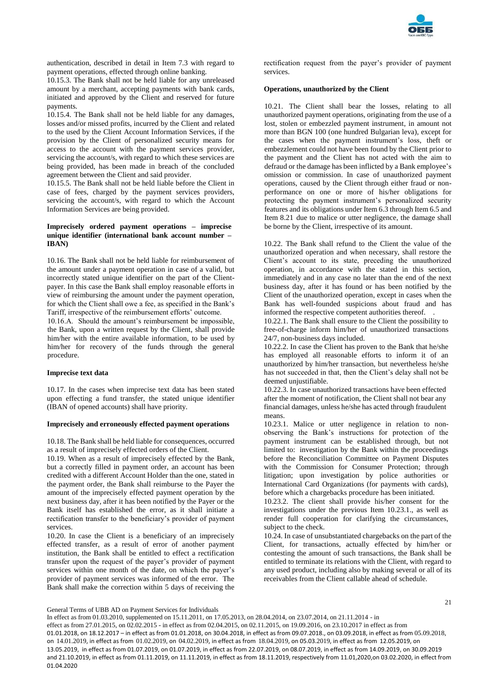

authentication, described in detail in Item 7.3 with regard to payment operations, effected through online banking.

10.15.3. The Bank shall not be held liable for any unreleased amount by a merchant, accepting payments with bank cards, initiated and approved by the Client and reserved for future payments.

10.15.4. The Bank shall not be held liable for any damages, losses and/or missed profits, incurred by the Client and related to the used by the Client Account Information Services, if the provision by the Client of personalized security means for access to the account with the payment services provider, servicing the account/s, with regard to which these services are being provided, has been made in breach of the concluded agreement between the Client and said provider.

10.15.5. The Bank shall not be held liable before the Client in case of fees, charged by the payment services providers, servicing the account/s, with regard to which the Account Information Services are being provided.

# **Imprecisely ordered payment operations – imprecise unique identifier (international bank account number – IBAN)**

10.16. The Bank shall not be held liable for reimbursement of the amount under a payment operation in case of a valid, but incorrectly stated unique identifier on the part of the Clientpayer. In this case the Bank shall employ reasonable efforts in view of reimbursing the amount under the payment operation, for which the Client shall owe a fee, as specified in the Bank's Tariff, irrespective of the reimbursement efforts' outcome.

10.16.А. Should the amount's reimbursement be impossible, the Bank, upon a written request by the Client, shall provide him/her with the entire available information, to be used by him/her for recovery of the funds through the general procedure.

## **Imprecise text data**

10.17. In the cases when imprecise text data has been stated upon effecting a fund transfer, the stated unique identifier (IBAN of opened accounts) shall have priority.

## **Imprecisely and erroneously effected payment operations**

10.18. The Bank shall be held liable for consequences, occurred as a result of imprecisely effected orders of the Client.

10.19. When as a result of imprecisely effected by the Bank, but a correctly filled in payment order, an account has been credited with a different Account Holder than the one, stated in the payment order, the Bank shall reimburse to the Payer the amount of the imprecisely effected payment operation by the next business day, after it has been notified by the Payer or the Bank itself has established the error, as it shall initiate a rectification transfer to the beneficiary's provider of payment services.

10.20. In case the Client is a beneficiary of an imprecisely effected transfer, as a result of error of another payment institution, the Bank shall be entitled to effect a rectification transfer upon the request of the payer's provider of payment services within one month of the date, on which the payer's provider of payment services was informed of the error. The Bank shall make the correction within 5 days of receiving the

rectification request from the payer's provider of payment services.

## **Operations, unauthorized by the Client**

10.21. The Client shall bear the losses, relating to all unauthorized payment operations, originating from the use of a lost, stolen or embezzled payment instrument, in amount not more than BGN 100 (one hundred Bulgarian leva), except for the cases when the payment instrument's loss, theft or embezzlement could not have been found by the Client prior to the payment and the Client has not acted with the aim to defraud or the damage has been inflicted by a Bank employee's omission or commission. In case of unauthorized payment operations, caused by the Client through either fraud or nonperformance on one or more of his/her obligations for protecting the payment instrument's personalized security features and its obligations under Item 6.3 through Item 6.5 and Item 8.21 due to malice or utter negligence, the damage shall be borne by the Client, irrespective of its amount.

10.22. The Bank shall refund to the Client the value of the unauthorized operation and when necessary, shall restore the Client's account to its state, preceding the unauthorized operation, in accordance with the stated in this section, immediately and in any case no later than the end of the next business day, after it has found or has been notified by the Client of the unauthorized operation, except in cases when the Bank has well-founded suspicions about fraud and has informed the respective competent authorities thereof. .

10.22.1. The Bank shall ensure to the Client the possibility to free-of-charge inform him/her of unauthorized transactions 24/7, non-business days included.

10.22.2. In case the Client has proven to the Bank that he/she has employed all reasonable efforts to inform it of an unauthorized by him/her transaction, but nevertheless he/she has not succeeded in that, then the Client's delay shall not be deemed unjustifiable.

10.22.3. In case unauthorized transactions have been effected after the moment of notification, the Client shall not bear any financial damages, unless he/she has acted through fraudulent means.

10.23.1. Malice or utter negligence in relation to nonobserving the Bank's instructions for protection of the payment instrument can be established through, but not limited to: investigation by the Bank within the proceedings before the Reconciliation Committee on Payment Disputes with the Commission for Consumer Protection; through litigation; upon investigation by police authorities or International Card Organizations (for payments with cards), before which a chargebacks procedure has been initiated.

10.23.2. The client shall provide his/her consent for the investigations under the previous Item 10.23.1., as well as render full cooperation for clarifying the circumstances, subject to the check.

10.24. In case of unsubstantiated chargebacks on the part of the Client, for transactions, actually effected by him/her or contesting the amount of such transactions, the Bank shall be entitled to terminate its relations with the Client, with regard to any used product, including also by making several or all of its receivables from the Client callable ahead of schedule.

General Terms of UBB AD on Payment Services for Individuals

In effect as from 01.03.2010, supplemented on 15.11.2011, on 17.05.2013, on 28.04.2014, on 23.07.2014, on 21.11.2014 - in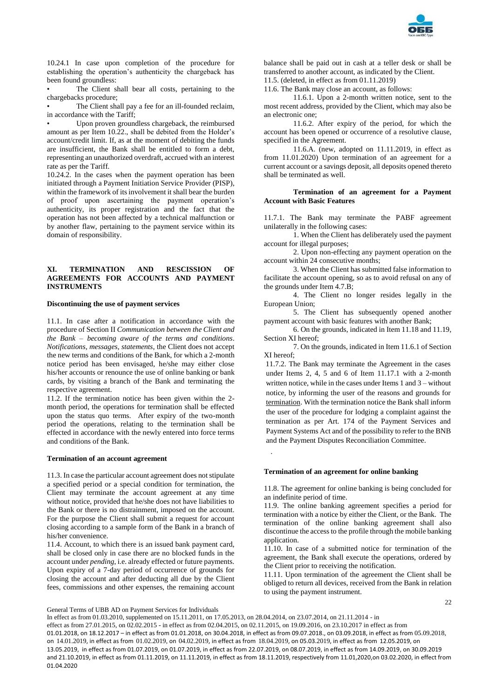

10.24.1 In case upon completion of the procedure for establishing the operation's authenticity the chargeback has been found groundless:

The Client shall bear all costs, pertaining to the chargebacks procedure;

The Client shall pay a fee for an ill-founded reclaim, in accordance with the Tariff;

Upon proven groundless chargeback, the reimbursed amount as per Item 10.22., shall be debited from the Holder's account/credit limit. If, as at the moment of debiting the funds are insufficient, the Bank shall be entitled to form a debt, representing an unauthorized overdraft, accrued with an interest rate as per the Tariff.

10.24.2. In the cases when the payment operation has been initiated through a Payment Initiation Service Provider (PISP), within the framework of its involvement it shall bear the burden of proof upon ascertaining the payment operation's authenticity, its proper registration and the fact that the operation has not been affected by a technical malfunction or by another flaw, pertaining to the payment service within its domain of responsibility.

# **XI. TERMINATION AND RESCISSION OF AGREEMENTS FOR ACCOUNTS AND PAYMENT INSTRUMENTS**

# **Discontinuing the use of payment services**

11.1. In case after a notification in accordance with the procedure of Section II *Communication between the Client and the Bank – becoming aware of the terms and conditions*. *Notifications, messages, statements*, the Client does not accept the new terms and conditions of the Bank, for which a 2-month notice period has been envisaged, he/she may either close his/her accounts or renounce the use of online banking or bank cards, by visiting a branch of the Bank and terminating the respective agreement.

11.2. If the termination notice has been given within the 2 month period, the operations for termination shall be effected upon the status quo terms. After expiry of the two-month period the operations, relating to the termination shall be effected in accordance with the newly entered into force terms and conditions of the Bank.

#### **Termination of an account agreement**

11.3. In case the particular account agreement does not stipulate a specified period or a special condition for termination, the Client may terminate the account agreement at any time without notice, provided that he/she does not have liabilities to the Bank or there is no distrainment, imposed on the account. For the purpose the Client shall submit a request for account closing according to a sample form of the Bank in a branch of his/her convenience.

11.4. Account, to which there is an issued bank payment card, shall be closed only in case there are no blocked funds in the account under *pending*, i.e. already effected or future payments. Upon expiry of a 7-day period of occurrence of grounds for closing the account and after deducting all due by the Client fees, commissions and other expenses, the remaining account

balance shall be paid out in cash at a teller desk or shall be transferred to another account, as indicated by the Client. 11.5. (deleted, in effect as from 01.11.2019)

11.6. The Bank may close an account, as follows:

11.6.1. Upon a 2-month written notice, sent to the most recent address, provided by the Client, which may also be an electronic one;

11.6.2. After expiry of the period, for which the account has been opened or occurrence of a resolutive clause, specified in the Agreement.

11.6.A. (new, adopted on 11.11.2019, in effect as from 11.01.2020) Upon termination of an agreement for a current account or a savings deposit, all deposits opened thereto shall be terminated as well.

#### **Termination of an agreement for a Payment Account with Basic Features**

11.7.1. The Bank may terminate the PABF agreement unilaterally in the following cases:

1. When the Client has deliberately used the payment account for illegal purposes;

2. Upon non-effecting any payment operation on the account within 24 consecutive months;

3. When the Client has submitted false information to facilitate the account opening, so as to avoid refusal on any of the grounds under Item 4.7.B;

4. The Client no longer resides legally in the European Union;

5. The Client has subsequently opened another payment account with basic features with another Bank;

6. On the grounds, indicated in Item 11.18 and 11.19, Section XI hereof;

7. On the grounds, indicated in Item 11.6.1 of Section XI hereof;

11.7.2. The Bank may terminate the Agreement in the cases under Items 2, 4, 5 and 6 of Item 11.17.1 with a 2-month written notice, while in the cases under Items 1 and 3 – without notice, by informing the user of the reasons and grounds for termination. With the termination notice the Bank shall inform the user of the procedure for lodging a complaint against the termination as per Art. 174 of the Payment Services and Payment Systems Act and of the possibility to refer to the BNB and the Payment Disputes Reconciliation Committee.

## **Termination of an agreement for online banking**

11.8. The agreement for online banking is being concluded for an indefinite period of time.

11.9. The online banking agreement specifies a period for termination with a notice by either the Client, or the Bank. The termination of the online banking agreement shall also discontinue the access to the profile through the mobile banking application.

11.10. In case of a submitted notice for termination of the agreement, the Bank shall execute the operations, ordered by the Client prior to receiving the notification.

11.11. Upon termination of the agreement the Client shall be obliged to return all devices, received from the Bank in relation to using the payment instrument.

 $22$ 

General Terms of UBB AD on Payment Services for Individuals

In effect as from 01.03.2010, supplemented on 15.11.2011, on 17.05.2013, on 28.04.2014, on 23.07.2014, on 21.11.2014 - in

effect as from 27.01.2015, on 02.02.2015 - in effect as from 02.04.2015, on 02.11.2015, on 19.09.2016, on 23.10.2017 in effect as from 01.01.2018, on 18.12.2017 – in effect as from 01.01.2018, on 30.04.2018, in effect as from 09.07.2018., on 03.09.2018, in effect as from 05.09.2018, on 14.01.2019, in effect as from 01.02.2019, on 04.02.2019, in effect as from 18.04.2019, on 05.03.2019, in effect as from 12.05.2019, on 13.05.2019, in effect as from 01.07.2019, on 01.07.2019, in effect as from 22.07.2019, on 08.07.2019, in effect as from 14.09.2019, on 30.09.2019 and 21.10.2019, in effect as from 01.11.2019, on 11.11.2019, in effect as from 18.11.2019, respectively from 11.01,2020,on 03.02.2020, in effect from 01.04.2020

.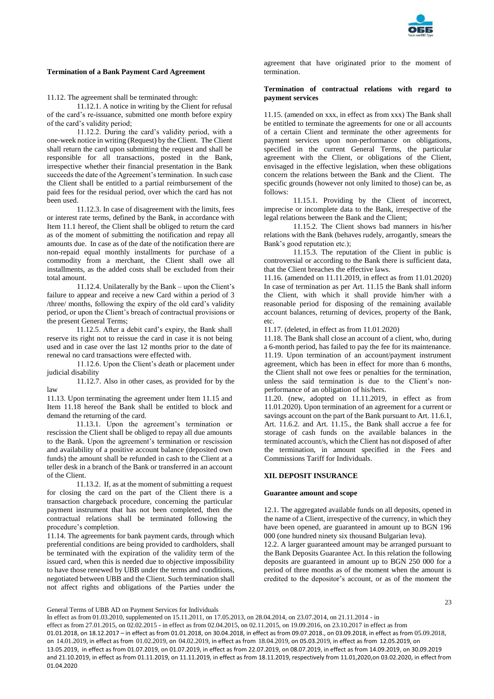

# **Termination of a Bank Payment Card Agreement**

11.12. The agreement shall be terminated through:

11.12.1. A notice in writing by the Client for refusal of the card's re-issuance, submitted one month before expiry of the card's validity period;

11.12.2. During the card's validity period, with a one-week notice in writing (Request) by the Client. The Client shall return the card upon submitting the request and shall be responsible for all transactions, posted in the Bank, irrespective whether their financial presentation in the Bank succeeds the date of the Agreement's termination. In such case the Client shall be entitled to a partial reimbursement of the paid fees for the residual period, over which the card has not been used.

11.12.3. In case of disagreement with the limits, fees or interest rate terms, defined by the Bank, in accordance with Item 11.1 hereof, the Client shall be obliged to return the card as of the moment of submitting the notification and repay all amounts due. In case as of the date of the notification there are non-repaid equal monthly installments for purchase of a commodity from a merchant, the Client shall owe all installments, as the added costs shall be excluded from their total amount.

11.12.4. Unilaterally by the Bank – upon the Client's failure to appear and receive a new Card within a period of 3 /three/ months, following the expiry of the old card's validity period, or upon the Client's breach of contractual provisions or the present General Terms;

11.12.5. After a debit card's expiry, the Bank shall reserve its right not to reissue the card in case it is not being used and in case over the last 12 months prior to the date of renewal no card transactions were effected with.

11.12.6. Upon the Client's death or placement under judicial disability

11.12.7. Also in other cases, as provided for by the law

11.13. Upon terminating the agreement under Item 11.15 and Item 11.18 hereof the Bank shall be entitled to block and demand the returning of the card.

11.13.1. Upon the agreement's termination or rescission the Client shall be obliged to repay all due amounts to the Bank. Upon the agreement's termination or rescission and availability of a positive account balance (deposited own funds) the amount shall be refunded in cash to the Client at a teller desk in a branch of the Bank or transferred in an account of the Client.

11.13.2. If, as at the moment of submitting a request for closing the card on the part of the Client there is a transaction chargeback procedure, concerning the particular payment instrument that has not been completed, then the contractual relations shall be terminated following the procedure's completion.

11.14. The agreements for bank payment cards, through which preferential conditions are being provided to cardholders, shall be terminated with the expiration of the validity term of the issued card, when this is needed due to objective impossibility to have those renewed by UBB under the terms and conditions, negotiated between UBB and the Client. Such termination shall not affect rights and obligations of the Parties under the

agreement that have originated prior to the moment of termination.

# **Termination of contractual relations with regard to payment services**

11.15. (amended on ххх, in effect as from ххх) The Bank shall be entitled to terminate the agreements for one or all accounts of a certain Client and terminate the other agreements for payment services upon non-performance on obligations, specified in the current General Terms, the particular agreement with the Client, or obligations of the Client, envisaged in the effective legislation, when these obligations concern the relations between the Bank and the Client. The specific grounds (however not only limited to those) can be, as follows:

11.15.1. Providing by the Client of incorrect, imprecise or incomplete data to the Bank, irrespective of the legal relations between the Bank and the Client;

11.15.2. The Client shows bad manners in his/her relations with the Bank (behaves rudely, arrogantly, smears the Bank's good reputation etc.);

11.15.3. The reputation of the Client in public is controversial or according to the Bank there is sufficient data, that the Client breaches the effective laws.

11.16. (amended on 11.11.2019, in effect as from 11.01.2020) In case of termination as per Art. 11.15 the Bank shall inform the Client, with which it shall provide him/her with a reasonable period for disposing of the remaining available account balances, returning of devices, property of the Bank, etc.

11.17. (deleted, in effect as from 11.01.2020)

11.18. The Bank shall close an account of a client, who, during a 6-month period, has failed to pay the fee for its maintenance. 11.19. Upon termination of an account/payment instrument agreement, which has been in effect for more than 6 months, the Client shall not owe fees or penalties for the termination, unless the said termination is due to the Client's nonperformance of an obligation of his/hers.

11.20. (new, adopted on 11.11.2019, in effect as from 11.01.2020). Upon termination of an agreement for a current or savings account on the part of the Bank pursuant to Art. 11.6.1, Art. 11.6.2. and Art. 11.15., the Bank shall accrue a fee for storage of cash funds on the available balances in the terminated account/s, which the Client has not disposed of after the termination, in amount specified in the Fees and Commissions Tariff for Individuals.

# **XII. DEPOSIT INSURANCE**

## **Guarantee amount and scope**

12.1. The aggregated available funds on all deposits, opened in the name of a Client, irrespective of the currency, in which they have been opened, are guaranteed in amount up to BGN 196 000 (one hundred ninety six thousand Bulgarian leva).

12.2. A larger guaranteed amount may be arranged pursuant to the Bank Deposits Guarantee Act. In this relation the following deposits are guaranteed in amount up to BGN 250 000 for a period of three months as of the moment when the amount is credited to the depositor's account, or as of the moment the

General Terms of UBB AD on Payment Services for Individuals

In effect as from 01.03.2010, supplemented on 15.11.2011, on 17.05.2013, on 28.04.2014, on 23.07.2014, on 21.11.2014 - in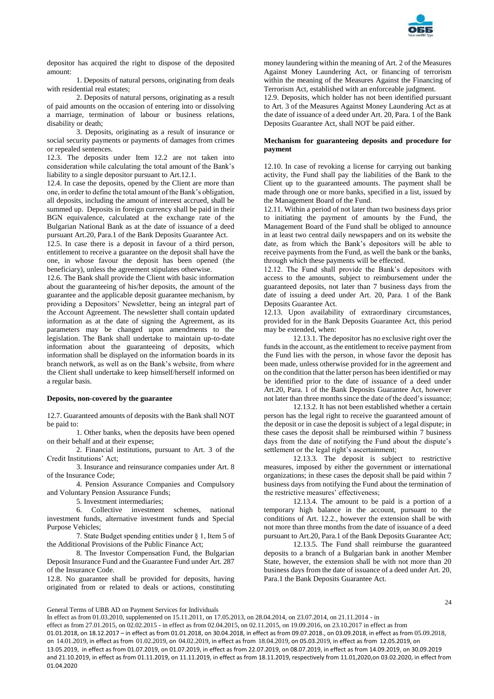

depositor has acquired the right to dispose of the deposited amount:

1. Deposits of natural persons, originating from deals with residential real estates;

2. Deposits of natural persons, originating as a result of paid amounts on the occasion of entering into or dissolving a marriage, termination of labour or business relations, disability or death;

3. Deposits, originating as a result of insurance or social security payments or payments of damages from crimes or repealed sentences.

12.3. The deposits under Item 12.2 are not taken into consideration while calculating the total amount of the Bank's liability to a single depositor pursuant to Art.12.1.

12.4. In case the deposits, opened by the Client are more than one, in order to define the total amount of the Bank's obligation, all deposits, including the amount of interest accrued, shall be summed up. Deposits in foreign currency shall be paid in their BGN equivalence, calculated at the exchange rate of the Bulgarian National Bank as at the date of issuance of a deed pursuant Art.20, Para.1 of the Bank Deposits Guarantee Act.

12.5. In case there is a deposit in favour of a third person, entitlement to receive a guarantee on the deposit shall have the one, in whose favour the deposit has been opened (the beneficiary), unless the agreement stipulates otherwise.

12.6. The Bank shall provide the Client with basic information about the guaranteeing of his/her deposits, the amount of the guarantee and the applicable deposit guarantee mechanism, by providing a Depositors' Newsletter, being an integral part of the Account Agreement. The newsletter shall contain updated information as at the date of signing the Agreement, as its parameters may be changed upon amendments to the legislation. The Bank shall undertake to maintain up-to-date information about the guaranteeing of deposits, which information shall be displayed on the information boards in its branch network, as well as on the Bank's website, from where the Client shall undertake to keep himself/herself informed on a regular basis.

# **Deposits, non-covered by the guarantee**

12.7. Guaranteed amounts of deposits with the Bank shall NOT be paid to:

1. Other banks, when the deposits have been opened on their behalf and at their expense;

2. Financial institutions, pursuant to Art. 3 of the Credit Institutions' Act;

3. Insurance and reinsurance companies under Art. 8 of the Insurance Code;

4. Pension Assurance Companies and Compulsory and Voluntary Pension Assurance Funds;

5. Investment intermediaries;

6. Collective investment schemes, national investment funds, alternative investment funds and Special Purpose Vehicles;

7. State Budget spending entities under § 1, Item 5 of the Additional Provisions of the Public Finance Act;

8. The Investor Compensation Fund, the Bulgarian Deposit Insurance Fund and the Guarantee Fund under Art. 287 of the Insurance Code.

12.8. No guarantee shall be provided for deposits, having originated from or related to deals or actions, constituting money laundering within the meaning of Art. 2 of the Measures Against Money Laundering Act, or financing of terrorism within the meaning of the Measures Against the Financing of Terrorism Act, established with an enforceable judgment.

12.9. Deposits, which holder has not been identified pursuant to Art. 3 of the Measures Against Money Laundering Act as at the date of issuance of a deed under Art. 20, Para. 1 of the Bank Deposits Guarantee Act, shall NOT be paid either.

## **Mechanism for guaranteeing deposits and procedure for payment**

12.10. In case of revoking a license for carrying out banking activity, the Fund shall pay the liabilities of the Bank to the Client up to the guaranteed amounts. The payment shall be made through one or more banks, specified in a list, issued by the Management Board of the Fund.

12.11. Within a period of not later than two business days prior to initiating the payment of amounts by the Fund, the Management Board of the Fund shall be obliged to announce in at least two central daily newspapers and on its website the date, as from which the Bank's depositors will be able to receive payments from the Fund, as well the bank or the banks, through which these payments will be effected.

12.12. The Fund shall provide the Bank's depositors with access to the amounts, subject to reimbursement under the guaranteed deposits, not later than 7 business days from the date of issuing a deed under Art. 20, Para. 1 of the Bank Deposits Guarantee Act.

12.13. Upon availability of extraordinary circumstances, provided for in the Bank Deposits Guarantee Act, this period may be extended, when:

12.13.1. The depositor has no exclusive right over the funds in the account, as the entitlement to receive payment from the Fund lies with the person, in whose favor the deposit has been made, unless otherwise provided for in the agreement and on the condition that the latter person has been identified or may be identified prior to the date of issuance of a deed under Art.20, Para. 1 of the Bank Deposits Guarantee Act, however not later than three months since the date of the deed's issuance;

12.13.2. It has not been established whether a certain person has the legal right to receive the guaranteed amount of the deposit or in case the deposit is subject of a legal dispute; in these cases the deposit shall be reimbursed within 7 business days from the date of notifying the Fund about the dispute's settlement or the legal right's ascertainment;

12.13.3. The deposit is subject to restrictive measures, imposed by either the government or international organizations; in these cases the deposit shall be paid within 7 business days from notifying the Fund about the termination of the restrictive measures' effectiveness;

12.13.4. The amount to be paid is a portion of a temporary high balance in the account, pursuant to the conditions of Art. 12.2., however the extension shall be with not more than three months from the date of issuance of a deed pursuant to Art.20, Para.1 of the Bank Deposits Guarantee Act;

12.13.5. The Fund shall reimburse the guaranteed deposits to a branch of a Bulgarian bank in another Member State, however, the extension shall be with not more than 20 business days from the date of issuance of a deed under Art. 20, Para.1 the Bank Deposits Guarantee Act.

 $24$ 

General Terms of UBB AD on Payment Services for Individuals

In effect as from 01.03.2010, supplemented on 15.11.2011, on 17.05.2013, on 28.04.2014, on 23.07.2014, on 21.11.2014 - in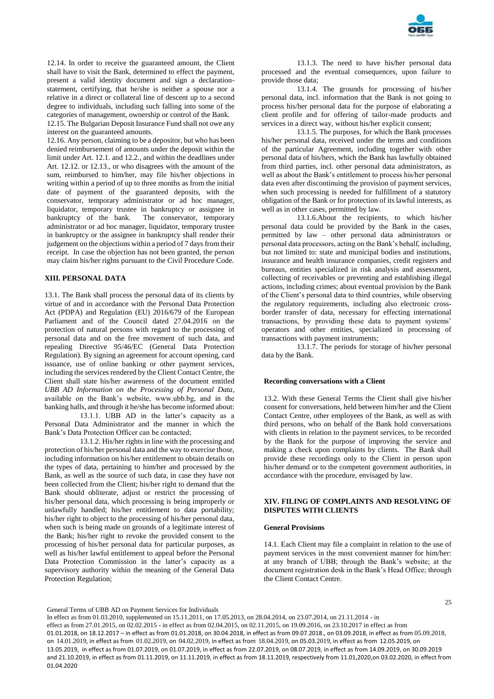

12.14. In order to receive the guaranteed amount, the Client shall have to visit the Bank, determined to effect the payment, present a valid identity document and sign a declarationstatement, certifying, that he/she is neither a spouse nor a relative in a direct or collateral line of descent up to a second degree to individuals, including such falling into some of the categories of management, ownership or control of the Bank. 12.15. The Bulgarian Deposit Insurance Fund shall not owe any interest on the guaranteed amounts.

12.16. Any person, claiming to be a depositor, but who has been denied reimbursement of amounts under the deposit within the limit under Art. 12.1. and 12.2., and within the deadlines under Art. 12.12. or 12.13., or who disagrees with the amount of the sum, reimbursed to him/her, may file his/her objections in writing within a period of up to three months as from the initial date of payment of the guaranteed deposits, with the conservator, temporary administrator or ad hoc manager, liquidator, temporary trustee in bankruptcy or assignee in bankruptcy of the bank. The conservator, temporary administrator or ad hoc manager, liquidator, temporary trustee in bankruptcy or the assignee in bankruptcy shall render their judgement on the objections within a period of 7 days from their receipt. In case the objection has not been granted, the person may claim his/her rights pursuant to the Civil Procedure Code.

# **XIII. PERSONAL DATA**

13.1. The Bank shall process the personal data of its clients by virtue of and in accordance with the Personal Data Protection Act (PDPA) and Regulation (EU) 2016/679 of the European Parliament and of the Council dated 27.04.2016 on the protection of natural persons with regard to the processing of personal data and on the free movement of such data, and repealing Directive 95/46/EC (General Data Protection Regulation). By signing an agreement for account opening, card issuance, use of online banking or other payment services, including the services rendered by the Client Contact Centre, the Client shall state his/her awareness of the document entitled *UBB AD Information on the Processing of Personal Data*, available on the Bank's website, www.ubb.bg, and in the banking halls, and through it he/she has become informed about:

13.1.1. UBB AD in the latter's capacity as a Personal Data Administrator and the manner in which the Bank's Data Protection Officer can be contacted;

13.1.2. His/her rights in line with the processing and protection of his/her personal data and the way to exercise those, including information on his/her entitlement to obtain details on the types of data, pertaining to him/her and processed by the Bank, as well as the source of such data, in case they have not been collected from the Client; his/her right to demand that the Bank should obliterate, adjust or restrict the processing of his/her personal data, which processing is being improperly or unlawfully handled; his/her entitlement to data portability; his/her right to object to the processing of his/her personal data, when such is being made on grounds of a legitimate interest of the Bank; his/her right to revoke the provided consent to the processing of his/her personal data for particular purposes, as well as his/her lawful entitlement to appeal before the Personal Data Protection Commission in the latter's capacity as a supervisory authority within the meaning of the General Data Protection Regulation;

13.1.3. The need to have his/her personal data processed and the eventual consequences, upon failure to provide those data;

13.1.4. The grounds for processing of his/her personal data, incl. information that the Bank is not going to process his/her personal data for the purpose of elaborating a client profile and for offering of tailor-made products and services in a direct way, without his/her explicit consent;

13.1.5. The purposes, for which the Bank processes his/her personal data, received under the terms and conditions of the particular Agreement, including together with other personal data of his/hers, which the Bank has lawfully obtained from third parties, incl. other personal data administrators, as well as about the Bank's entitlement to process his/her personal data even after discontinuing the provision of payment services, when such processing is needed for fulfillment of a statutory obligation of the Bank or for protection of its lawful interests, as well as in other cases, permitted by law.

13.1.6.About the recipients, to which his/her personal data could be provided by the Bank in the cases, permitted by law – other personal data administrators or personal data processors, acting on the Bank's behalf, including, but not limited to: state and municipal bodies and institutions, insurance and health insurance companies, credit registers and bureaus, entities specialized in risk analysis and assessment, collecting of receivables or preventing and establishing illegal actions, including crimes; about eventual provision by the Bank of the Client's personal data to third countries, while observing the regulatory requirements, including also electronic crossborder transfer of data, necessary for effecting international transactions, by providing these data to payment systems' operators and other entities, specialized in processing of transactions with payment instruments;

13.1.7. The periods for storage of his/her personal data by the Bank.

## **Recording conversations with a Client**

13.2. With these General Terms the Client shall give his/her consent for conversations, held between him/her and the Client Contact Centre, other employees of the Bank, as well as with third persons, who on behalf of the Bank hold conversations with clients in relation to the payment services, to be recorded by the Bank for the purpose of improving the service and making a check upon complaints by clients. The Bank shall provide these recordings only to the Client in person upon his/her demand or to the competent government authorities, in accordance with the procedure, envisaged by law.

# **XIV. FILING OF COMPLAINTS AND RESOLVING OF DISPUTES WITH CLIENTS**

# **General Provisions**

14.1. Each Client may file a complaint in relation to the use of payment services in the most convenient manner for him/her: at any branch of UBB; through the Bank's website; at the document registration desk in the Bank's Head Office; through the Client Contact Centre.

 $25$ 

General Terms of UBB AD on Payment Services for Individuals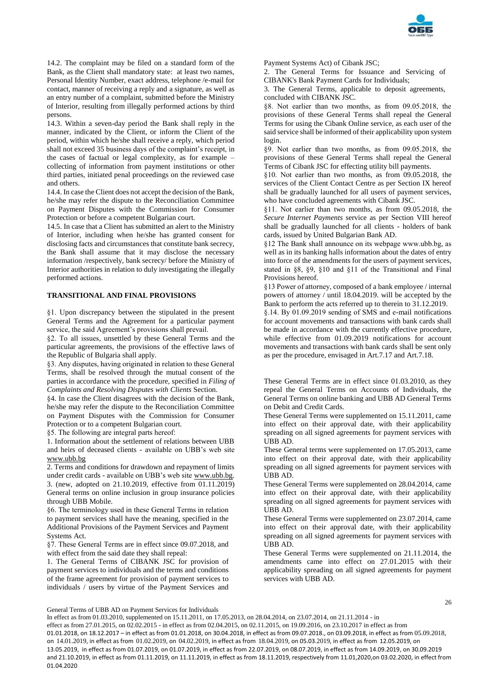

14.2. The complaint may be filed on a standard form of the Bank, as the Client shall mandatory state: at least two names, Personal Identity Number, exact address, telephone /e-mail for contact, manner of receiving a reply and a signature, as well as an entry number of a complaint, submitted before the Ministry of Interior, resulting from illegally performed actions by third persons.

14.3. Within a seven-day period the Bank shall reply in the manner, indicated by the Client, or inform the Client of the period, within which he/she shall receive a reply, which period shall not exceed 35 business days of the complaint's receipt, in the cases of factual or legal complexity, as for example – collecting of information from payment institutions or other third parties, initiated penal proceedings on the reviewed case and others.

14.4. In case the Client does not accept the decision of the Bank, he/she may refer the dispute to the Reconciliation Committee on Payment Disputes with the Commission for Consumer Protection or before a competent Bulgarian court.

14.5. In case that a Client has submitted an alert to the Ministry of Interior, including when he/she has granted consent for disclosing facts and circumstances that constitute bank secrecy, the Bank shall assume that it may disclose the necessary information /respectively, bank secrecy/ before the Ministry of Interior authorities in relation to duly investigating the illegally performed actions.

## **TRANSITIONAL AND FINAL PROVISIONS**

§1. Upon discrepancy between the stipulated in the present General Terms and the Agreement for a particular payment service, the said Agreement's provisions shall prevail.

§2. To all issues, unsettled by these General Terms and the particular agreements, the provisions of the effective laws of the Republic of Bulgaria shall apply.

§3. Any disputes, having originated in relation to these General Terms, shall be resolved through the mutual consent of the parties in accordance with the procedure, specified in *Filing of Complaints and Resolving Disputes with Clients* Section.

§4. In case the Client disagrees with the decision of the Bank, he/she may refer the dispute to the Reconciliation Committee on Payment Disputes with the Commission for Consumer Protection or to a competent Bulgarian court.

§5. The following are integral parts hereof:

1. Information about the settlement of relations between UBB and heirs of deceased clients - available on UBB's web site [www.ubb.bg](http://www.ubb.bg/)

2. Terms and conditions for drawdown and repayment of limits under credit cards - available on UBB's web site [www.ubb.bg.](http://www.ubb.bg/) 3. (new, adopted on 21.10.2019, effective from 01.11.2019) General terms on online inclusion in group insurance policies through UBB Mobile.

§6. The terminology used in these General Terms in relation to payment services shall have the meaning, specified in the Additional Provisions of the Payment Services and Payment Systems Act.

§7. These General Terms are in effect since 09.07.2018, and with effect from the said date they shall repeal:

1. The General Terms of CIBANK JSC for provision of payment services to individuals and the terms and conditions of the frame agreement for provision of payment services to individuals / users by virtue of the Payment Services and

Payment Systems Act) of Cibank JSC;

2. The General Terms for Issuance and Servicing of CIBANK's Bank Payment Cards for Individuals;

3. The General Terms, applicable to deposit agreements, concluded with CIBANK JSC.

§8. Not earlier than two months, as from 09.05.2018, the provisions of these General Terms shall repeal the General Terms for using the Cibank Online service, as each user of the said service shall be informed of their applicability upon system login.

§9. Not earlier than two months, as from 09.05.2018, the provisions of these General Terms shall repeal the General Terms of Cibank JSC for effecting utility bill payments.

§10. Not earlier than two months, as from 09.05.2018, the services of the Client Contact Centre as per Section IX hereof shall be gradually launched for all users of payment services, who have concluded agreements with Cibank JSC.

§11. Not earlier than two months, as from 09.05.2018, the *Secure Internet Payments* service as per Section VIII hereof shall be gradually launched for all clients - holders of bank cards, issued by United Bulgarian Bank AD.

§12 The Bank shall announce on its webpage www.ubb.bg, as well as in its banking halls information about the dates of entry into force of the amendments for the users of payment services, stated in §8, §9, §10 and §11 of the Transitional and Final Provisions hereof.

§13 Power of attorney, composed of a bank employee / internal powers of attorney / until 18.04.2019. will be accepted by the Bank to perform the acts referred up to therein to 31.12.2019.

§.14. By 01.09.2019 sending of SMS and e-mail notifications for account movements and transactions with bank cards shall be made in accordance with the currently effective procedure, while effective from 01.09.2019 notifications for account movements and transactions with bank cards shall be sent only as per the procedure, envisaged in Art.7.17 and Art.7.18.

These General Terms are in effect since 01.03.2010, as they repeal the General Terms on Accounts of Individuals, the General Terms on online banking and UBB AD General Terms on Debit and Credit Cards.

These General Terms were supplemented on 15.11.2011, came into effect on their approval date, with their applicability spreading on all signed agreements for payment services with UBB AD.

These General terms were supplemented on 17.05.2013, came into effect on their approval date, with their applicability spreading on all signed agreements for payment services with UBB AD.

These General Terms were supplemented on 28.04.2014, came into effect on their approval date, with their applicability spreading on all signed agreements for payment services with UBB AD.

These General Terms were supplemented on 23.07.2014, came into effect on their approval date, with their applicability spreading on all signed agreements for payment services with UBB AD.

These General Terms were supplemented on 21.11.2014, the amendments came into effect on 27.01.2015 with their applicability spreading on all signed agreements for payment services with UBB AD.

General Terms of UBB AD on Payment Services for Individuals

In effect as from 01.03.2010, supplemented on 15.11.2011, on 17.05.2013, on 28.04.2014, on 23.07.2014, on 21.11.2014 - in